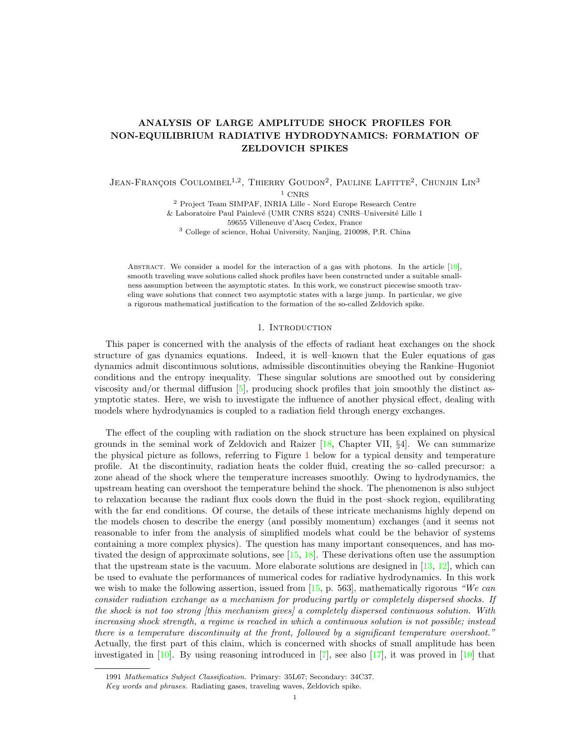# ANALYSIS OF LARGE AMPLITUDE SHOCK PROFILES FOR NON-EQUILIBRIUM RADIATIVE HYDRODYNAMICS: FORMATION OF ZELDOVICH SPIKES

 $J$ ean-Francois Coulombel<sup>1,2</sup>, Thierry Goudon<sup>2</sup>, Pauline Lafitte<sup>2</sup>, Chunjin Lin<sup>3</sup>

 $1$  CNRS

<sup>2</sup> Project Team SIMPAF, INRIA Lille - Nord Europe Research Centre  $&$  Laboratoire Paul Painlevé (UMR CNRS 8524) CNRS–Université Lille 1 59655 Villeneuve d'Ascq Cedex, France

<sup>3</sup> College of science, Hohai University, Nanjing, 210098, P.R. China

ABSTRACT. We consider a model for the interaction of a gas with photons. In the article  $[10]$ , smooth traveling wave solutions called shock profiles have been constructed under a suitable smallness assumption between the asymptotic states. In this work, we construct piecewise smooth traveling wave solutions that connect two asymptotic states with a large jump. In particular, we give a rigorous mathematical justification to the formation of the so-called Zeldovich spike.

### 1. Introduction

This paper is concerned with the analysis of the effects of radiant heat exchanges on the shock structure of gas dynamics equations. Indeed, it is well–known that the Euler equations of gas dynamics admit discontinuous solutions, admissible discontinuities obeying the Rankine–Hugoniot conditions and the entropy inequality. These singular solutions are smoothed out by considering viscosity and/or thermal diffusion [\[5\]](#page-20-1), producing shock profiles that join smoothly the distinct asymptotic states. Here, we wish to investigate the influence of another physical effect, dealing with models where hydrodynamics is coupled to a radiation field through energy exchanges.

The effect of the coupling with radiation on the shock structure has been explained on physical grounds in the seminal work of Zeldovich and Raizer  $[18, Chapter VII, §4]$ . We can summarize the physical picture as follows, referring to Figure [1](#page-3-0) below for a typical density and temperature profile. At the discontinuity, radiation heats the colder fluid, creating the so–called precursor: a zone ahead of the shock where the temperature increases smoothly. Owing to hydrodynamics, the upstream heating can overshoot the temperature behind the shock. The phenomenon is also subject to relaxation because the radiant flux cools down the fluid in the post–shock region, equilibrating with the far end conditions. Of course, the details of these intricate mechanisms highly depend on the models chosen to describe the energy (and possibly momentum) exchanges (and it seems not reasonable to infer from the analysis of simplified models what could be the behavior of systems containing a more complex physics). The question has many important consequences, and has motivated the design of approximate solutions, see [\[15,](#page-20-3) [18\]](#page-20-2). These derivations often use the assumption that the upstream state is the vacuum. More elaborate solutions are designed in  $[13, 12]$  $[13, 12]$ , which can be used to evaluate the performances of numerical codes for radiative hydrodynamics. In this work we wish to make the following assertion, issued from  $[15, p. 563]$ , mathematically rigorous "We can consider radiation exchange as a mechanism for producing partly or completely dispersed shocks. If the shock is not too strong [this mechanism gives] a completely dispersed continuous solution. With increasing shock strength, a regime is reached in which a continuous solution is not possible; instead there is a temperature discontinuity at the front, followed by a significant temperature overshoot." Actually, the first part of this claim, which is concerned with shocks of small amplitude has been investigated in  $[10]$ . By using reasoning introduced in  $[7]$ , see also  $[17]$ , it was proved in  $[10]$  that

<sup>1991</sup> Mathematics Subject Classification. Primary: 35L67; Secondary: 34C37.

Key words and phrases. Radiating gases, traveling waves, Zeldovich spike.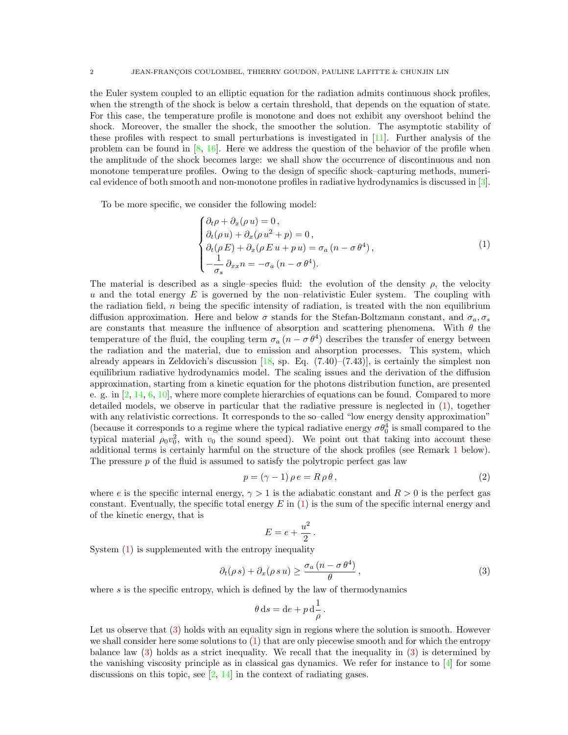the Euler system coupled to an elliptic equation for the radiation admits continuous shock profiles, when the strength of the shock is below a certain threshold, that depends on the equation of state. For this case, the temperature profile is monotone and does not exhibit any overshoot behind the shock. Moreover, the smaller the shock, the smoother the solution. The asymptotic stability of these profiles with respect to small perturbations is investigated in [\[11\]](#page-20-8). Further analysis of the problem can be found in  $[8, 16]$  $[8, 16]$ . Here we address the question of the behavior of the profile when the amplitude of the shock becomes large: we shall show the occurrence of discontinuous and non monotone temperature profiles. Owing to the design of specific shock–capturing methods, numerical evidence of both smooth and non-monotone profiles in radiative hydrodynamics is discussed in [\[3\]](#page-19-0).

To be more specific, we consider the following model:

<span id="page-1-0"></span>
$$
\begin{cases} \partial_t \rho + \partial_x (\rho u) = 0, \\ \partial_t (\rho u) + \partial_x (\rho u^2 + p) = 0, \\ \partial_t (\rho E) + \partial_x (\rho E u + p u) = \sigma_a (n - \sigma \theta^4), \\ -\frac{1}{\sigma_s} \partial_{xx} n = -\sigma_a (n - \sigma \theta^4). \end{cases} (1)
$$

The material is described as a single–species fluid: the evolution of the density  $\rho$ , the velocity u and the total energy  $E$  is governed by the non-relativistic Euler system. The coupling with the radiation field,  $n$  being the specific intensity of radiation, is treated with the non equilibrium diffusion approximation. Here and below  $\sigma$  stands for the Stefan-Boltzmann constant, and  $\sigma_a, \sigma_s$ are constants that measure the influence of absorption and scattering phenomena. With  $\theta$  the temperature of the fluid, the coupling term  $\sigma_a (n - \sigma \theta^4)$  describes the transfer of energy between the radiation and the material, due to emission and absorption processes. This system, which already appears in Zeldovich's discussion  $[18,$  sp. Eq.  $(7.40)$ – $(7.43)$ ], is certainly the simplest non equilibrium radiative hydrodynamics model. The scaling issues and the derivation of the diffusion approximation, starting from a kinetic equation for the photons distribution function, are presented e. g. in [\[2,](#page-19-1) [14,](#page-20-11) [6,](#page-20-12) [10\]](#page-20-0), where more complete hierarchies of equations can be found. Compared to more detailed models, we observe in particular that the radiative pressure is neglected in [\(1\)](#page-1-0), together with any relativistic corrections. It corresponds to the so–called "low energy density approximation" (because it corresponds to a regime where the typical radiative energy  $\sigma \theta_0^4$  is small compared to the typical material  $\rho_0 v_0^2$ , with  $v_0$  the sound speed). We point out that taking into account these additional terms is certainly harmful on the structure of the shock profiles (see Remark [1](#page-3-1) below). The pressure  $p$  of the fluid is assumed to satisfy the polytropic perfect gas law

<span id="page-1-2"></span>
$$
p = (\gamma - 1)\,\rho\,e = R\,\rho\,\theta\,,\tag{2}
$$

where e is the specific internal energy,  $\gamma > 1$  is the adiabatic constant and  $R > 0$  is the perfect gas constant. Eventually, the specific total energy  $E$  in [\(1\)](#page-1-0) is the sum of the specific internal energy and of the kinetic energy, that is

$$
E=e+\frac{u^2}{2}
$$

.

System [\(1\)](#page-1-0) is supplemented with the entropy inequality

<span id="page-1-1"></span>
$$
\partial_t(\rho s) + \partial_x(\rho s u) \ge \frac{\sigma_a (n - \sigma \theta^4)}{\theta}, \qquad (3)
$$

where  $s$  is the specific entropy, which is defined by the law of thermodynamics

$$
\theta \, \mathrm{d}s = \mathrm{d}e + p \, \mathrm{d} \frac{1}{\rho} \, .
$$

Let us observe that  $(3)$  holds with an equality sign in regions where the solution is smooth. However we shall consider here some solutions to [\(1\)](#page-1-0) that are only piecewise smooth and for which the entropy balance law [\(3\)](#page-1-1) holds as a strict inequality. We recall that the inequality in [\(3\)](#page-1-1) is determined by the vanishing viscosity principle as in classical gas dynamics. We refer for instance to  $[4]$  for some discussions on this topic, see  $\left[2, 14\right]$  in the context of radiating gases.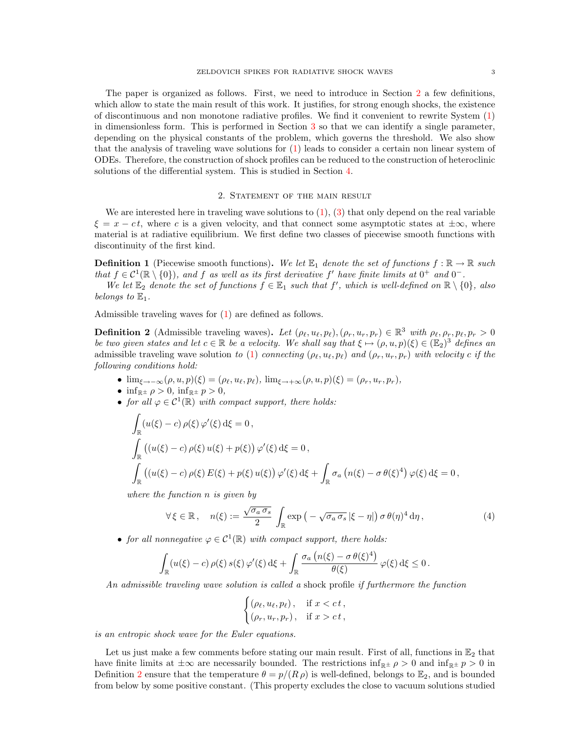depending on the physical constants of the problem, which governs the threshold. We also show that the analysis of traveling wave solutions for [\(1\)](#page-1-0) leads to consider a certain non linear system of ODEs. Therefore, the construction of shock profiles can be reduced to the construction of heteroclinic solutions of the differential system. This is studied in Section [4.](#page-10-0)

#### 2. STATEMENT OF THE MAIN RESULT

<span id="page-2-0"></span>We are interested here in traveling wave solutions to  $(1)$ ,  $(3)$  that only depend on the real variable  $\xi = x - ct$ , where c is a given velocity, and that connect some asymptotic states at  $\pm \infty$ , where material is at radiative equilibrium. We first define two classes of piecewise smooth functions with discontinuity of the first kind.

**Definition 1** (Piecewise smooth functions). We let  $\mathbb{E}_1$  denote the set of functions  $f : \mathbb{R} \to \mathbb{R}$  such that  $f \in C^1(\mathbb{R} \setminus \{0\})$ , and f as well as its first derivative f' have finite limits at  $0^+$  and  $0^-$ .

We let  $\mathbb{E}_2$  denote the set of functions  $f \in \mathbb{E}_1$  such that f', which is well-defined on  $\mathbb{R} \setminus \{0\}$ , also belongs to  $\mathbb{E}_1$ .

Admissible traveling waves for [\(1\)](#page-1-0) are defined as follows.

<span id="page-2-1"></span>**Definition 2** (Admissible traveling waves). Let  $(\rho_\ell, u_\ell, p_\ell), (\rho_r, u_r, p_r) \in \mathbb{R}^3$  with  $\rho_\ell, \rho_r, p_\ell, p_r > 0$ be two given states and let  $c \in \mathbb{R}$  be a velocity. We shall say that  $\xi \mapsto (\rho, u, p)(\xi) \in (\mathbb{E}_2)^3$  defines an admissible traveling wave solution to [\(1\)](#page-1-0) connecting  $(\rho_\ell, u_\ell, p_\ell)$  and  $(\rho_r, u_r, p_r)$  with velocity c if the following conditions hold:

- $\lim_{\xi \to -\infty} (\rho, u, p)(\xi) = (\rho_{\ell}, u_{\ell}, p_{\ell}), \lim_{\xi \to +\infty} (\rho, u, p)(\xi) = (\rho_r, u_r, p_r),$
- inf<sub>R</sub> $\pm \rho > 0$ , inf<sub>R</sub> $\pm p > 0$ ,
- for all  $\varphi \in C^1(\mathbb{R})$  with compact support, there holds:

$$
\int_{\mathbb{R}} (u(\xi) - c) \rho(\xi) \varphi'(\xi) d\xi = 0,\n\int_{\mathbb{R}} ((u(\xi) - c) \rho(\xi) u(\xi) + p(\xi)) \varphi'(\xi) d\xi = 0,\n\int_{\mathbb{R}} ((u(\xi) - c) \rho(\xi) E(\xi) + p(\xi) u(\xi)) \varphi'(\xi) d\xi + \int_{\mathbb{R}} \sigma_a (n(\xi) - \sigma \theta(\xi)^4) \varphi(\xi) d\xi = 0,
$$

where the function n is given by

<span id="page-2-2"></span>
$$
\forall \xi \in \mathbb{R}, \quad n(\xi) := \frac{\sqrt{\sigma_a \sigma_s}}{2} \int_{\mathbb{R}} \exp\left(-\sqrt{\sigma_a \sigma_s} |\xi - \eta|\right) \sigma \theta(\eta)^4 d\eta, \tag{4}
$$

• for all nonnegative  $\varphi \in C^1(\mathbb{R})$  with compact support, there holds:

$$
\int_{\mathbb{R}} \left( u(\xi) - c \right) \rho(\xi) \, s(\xi) \, \varphi'(\xi) \, \mathrm{d}\xi + \int_{\mathbb{R}} \frac{\sigma_a \left( n(\xi) - \sigma \, \theta(\xi)^4 \right)}{\theta(\xi)} \, \varphi(\xi) \, \mathrm{d}\xi \le 0 \, .
$$

An admissible traveling wave solution is called a shock profile if furthermore the function

$$
\begin{cases} (\rho_{\ell}, u_{\ell}, p_{\ell}), & \text{if } x < ct, \\ (\rho_r, u_r, p_r), & \text{if } x > ct, \end{cases}
$$

is an entropic shock wave for the Euler equations.

Let us just make a few comments before stating our main result. First of all, functions in  $\mathbb{E}_2$  that have finite limits at  $\pm\infty$  are necessarily bounded. The restrictions inf<sub>R</sub> $\pm \rho > 0$  and inf<sub>R</sub> $\pm p > 0$  in Definition [2](#page-2-1) ensure that the temperature  $\theta = p/(R \rho)$  is well-defined, belongs to  $\mathbb{E}_2$ , and is bounded from below by some positive constant. (This property excludes the close to vacuum solutions studied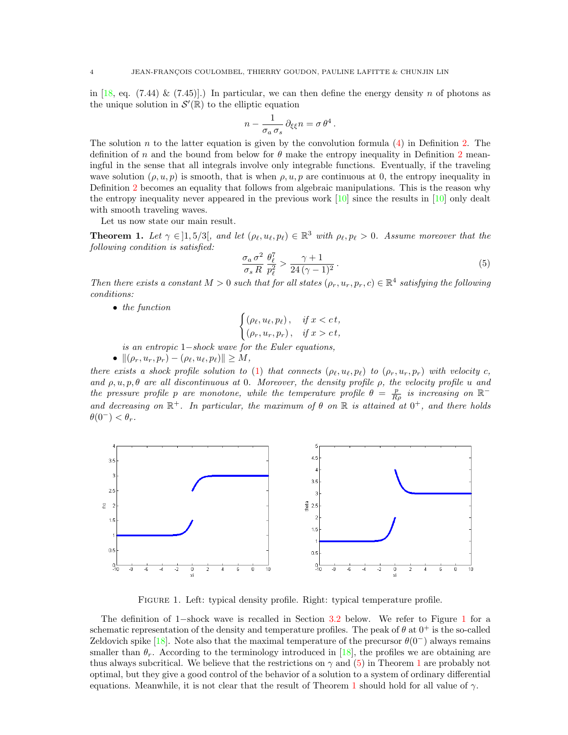in [\[18,](#page-20-2) eq. (7.44) & (7.45)].) In particular, we can then define the energy density n of photons as the unique solution in  $\mathcal{S}'(\mathbb{R})$  to the elliptic equation

$$
n - \frac{1}{\sigma_a \, \sigma_s} \, \partial_{\xi \xi} n = \sigma \, \theta^4 \, .
$$

The solution n to the latter equation is given by the convolution formula  $(4)$  in Definition [2.](#page-2-1) The definition of n and the bound from below for  $\theta$  make the entropy inequality in Definition [2](#page-2-1) meaningful in the sense that all integrals involve only integrable functions. Eventually, if the traveling wave solution  $(\rho, u, p)$  is smooth, that is when  $\rho, u, p$  are continuous at 0, the entropy inequality in Definition [2](#page-2-1) becomes an equality that follows from algebraic manipulations. This is the reason why the entropy inequality never appeared in the previous work  $[10]$  since the results in  $[10]$  only dealt with smooth traveling waves.

Let us now state our main result.

<span id="page-3-3"></span>**Theorem 1.** Let  $\gamma \in ]1, 5/3[$ , and let  $(\rho_{\ell}, u_{\ell}, p_{\ell}) \in \mathbb{R}^3$  with  $\rho_{\ell}, p_{\ell} > 0$ . Assume moreover that the following condition is satisfied:

<span id="page-3-2"></span>
$$
\frac{\sigma_a \,\sigma^2}{\sigma_s \,R} \,\frac{\theta_\ell^7}{p_\ell^2} > \frac{\gamma + 1}{24 \, (\gamma - 1)^2} \,. \tag{5}
$$

Then there exists a constant  $M > 0$  such that for all states  $(\rho_r, u_r, p_r, c) \in \mathbb{R}^4$  satisfying the following conditions:

• the function

$$
\begin{cases} (\rho_{\ell}, u_{\ell}, p_{\ell}), & \text{if } x < ct, \\ (\rho_r, u_r, p_r), & \text{if } x > ct, \end{cases}
$$

is an entropic 1−shock wave for the Euler equations,

•  $\|(\rho_r, u_r, p_r) - (\rho_\ell, u_\ell, p_\ell)\| \ge M,$ 

there exists a shock profile solution to [\(1\)](#page-1-0) that connects  $(\rho_\ell, u_\ell, p_\ell)$  to  $(\rho_r, u_r, p_r)$  with velocity c, and  $\rho, u, p, \theta$  are all discontinuous at 0. Moreover, the density profile  $\rho$ , the velocity profile u and the pressure profile p are monotone, while the temperature profile  $\theta = \frac{p}{R\rho}$  is increasing on  $\mathbb{R}^$ and decreasing on  $\mathbb{R}^+$ . In particular, the maximum of  $\theta$  on  $\mathbb R$  is attained at  $0^+$ , and there holds  $\theta(0^-) < \theta_r$ .



<span id="page-3-0"></span>Figure 1. Left: typical density profile. Right: typical temperature profile.

<span id="page-3-1"></span>The definition of 1−shock wave is recalled in Section [3.2](#page-6-0) below. We refer to Figure [1](#page-3-0) for a schematic representation of the density and temperature profiles. The peak of  $\theta$  at  $0^+$  is the so-called Zeldovich spike [\[18\]](#page-20-2). Note also that the maximal temperature of the precursor  $\theta(0^-)$  always remains smaller than  $\theta_r$ . According to the terminology introduced in [\[18\]](#page-20-2), the profiles we are obtaining are thus always subcritical. We believe that the restrictions on  $\gamma$  and [\(5\)](#page-3-2) in Theorem [1](#page-3-3) are probably not optimal, but they give a good control of the behavior of a solution to a system of ordinary differential equations. Meanwhile, it is not clear that the result of Theorem [1](#page-3-3) should hold for all value of  $\gamma$ .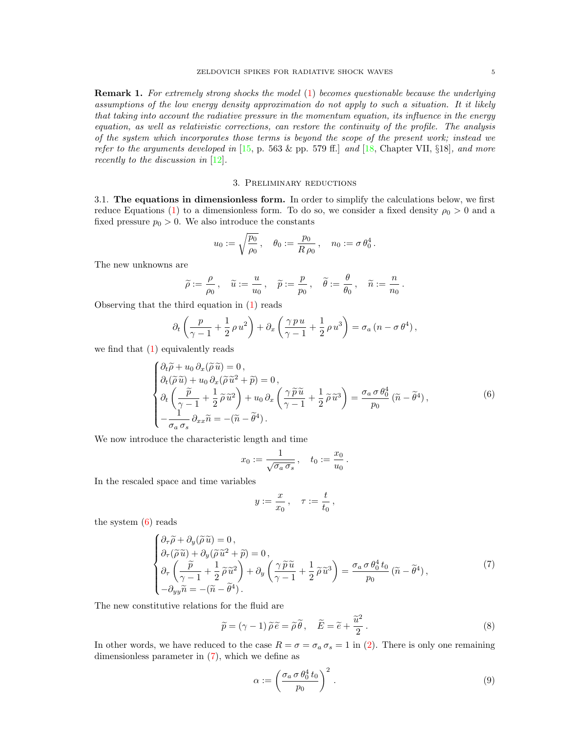Remark 1. For extremely strong shocks the model [\(1\)](#page-1-0) becomes questionable because the underlying assumptions of the low energy density approximation do not apply to such a situation. It it likely that taking into account the radiative pressure in the momentum equation, its influence in the energy equation, as well as relativistic corrections, can restore the continuity of the profile. The analysis of the system which incorporates those terms is beyond the scope of the present work; instead we refer to the arguments developed in  $[15, p. 563 \& pp. 579 \text{ ff.}]$  $[15, p. 563 \& pp. 579 \text{ ff.}]$  and  $[18, \text{Chapter VII}, \S18]$  $[18, \text{Chapter VII}, \S18]$ , and more recently to the discussion in [\[12\]](#page-20-5).

## 3. Preliminary reductions

<span id="page-4-5"></span><span id="page-4-0"></span>3.1. The equations in dimensionless form. In order to simplify the calculations below, we first reduce Equations [\(1\)](#page-1-0) to a dimensionless form. To do so, we consider a fixed density  $\rho_0 > 0$  and a fixed pressure  $p_0 > 0$ . We also introduce the constants

$$
u_0 := \sqrt{\frac{p_0}{\rho_0}}, \quad \theta_0 := \frac{p_0}{R \rho_0}, \quad n_0 := \sigma \theta_0^4.
$$

The new unknowns are

$$
\widetilde{\rho}:=\frac{\rho}{\rho_0}\,,\quad \widetilde{u}:=\frac{u}{u_0}\,,\quad \widetilde{p}:=\frac{p}{p_0}\,,\quad \widetilde{\theta}:=\frac{\theta}{\theta_0}\,,\quad \widetilde{n}:=\frac{n}{n_0}\,.
$$

Observing that the third equation in [\(1\)](#page-1-0) reads

$$
\partial_t \left( \frac{p}{\gamma - 1} + \frac{1}{2} \rho u^2 \right) + \partial_x \left( \frac{\gamma p u}{\gamma - 1} + \frac{1}{2} \rho u^3 \right) = \sigma_a \left( n - \sigma \theta^4 \right),
$$

we find that  $(1)$  equivalently reads

<span id="page-4-1"></span>
$$
\begin{cases}\n\partial_t \widetilde{\rho} + u_0 \partial_x (\widetilde{\rho} \widetilde{u}) = 0, \\
\partial_t (\widetilde{\rho} \widetilde{u}) + u_0 \partial_x (\widetilde{\rho} \widetilde{u}^2 + \widetilde{p}) = 0, \\
\partial_t \left( \frac{\widetilde{p}}{\gamma - 1} + \frac{1}{2} \widetilde{\rho} \widetilde{u}^2 \right) + u_0 \partial_x \left( \frac{\gamma \widetilde{p} \widetilde{u}}{\gamma - 1} + \frac{1}{2} \widetilde{\rho} \widetilde{u}^3 \right) = \frac{\sigma_a \sigma \theta_0^4}{p_0} (\widetilde{n} - \widetilde{\theta}^4), \\
-\frac{1}{\sigma_a \sigma_s} \partial_{xx} \widetilde{n} = -(\widetilde{n} - \widetilde{\theta}^4).\n\end{cases} \tag{6}
$$

We now introduce the characteristic length and time

$$
x_0 := \frac{1}{\sqrt{\sigma_a \sigma_s}}, \quad t_0 := \frac{x_0}{u_0}.
$$

In the rescaled space and time variables

$$
y:=\frac{x}{x_0}\,,\quad \tau:=\frac{t}{t_0}\,,
$$

the system [\(6\)](#page-4-1) reads

<span id="page-4-2"></span>
$$
\begin{cases}\n\partial_{\tau}\widetilde{\rho} + \partial_{y}(\widetilde{\rho}\,\widetilde{u}) = 0, \\
\partial_{\tau}(\widetilde{\rho}\,\widetilde{u}) + \partial_{y}(\widetilde{\rho}\,\widetilde{u}^{2} + \widetilde{p}) = 0, \\
\partial_{\tau}\left(\frac{\widetilde{p}}{\gamma - 1} + \frac{1}{2}\widetilde{\rho}\,\widetilde{u}^{2}\right) + \partial_{y}\left(\frac{\gamma\,\widetilde{p}\,\widetilde{u}}{\gamma - 1} + \frac{1}{2}\widetilde{\rho}\,\widetilde{u}^{3}\right) = \frac{\sigma_{a}\,\sigma\,\theta_{0}^{4}\,t_{0}}{p_{0}}\left(\widetilde{n} - \widetilde{\theta}^{4}\right), \\
-\partial_{yy}\widetilde{n} = -(\widetilde{n} - \widetilde{\theta}^{4}).\n\end{cases} (7)
$$

The new constitutive relations for the fluid are

<span id="page-4-3"></span>
$$
\widetilde{p} = (\gamma - 1) \widetilde{\rho} \widetilde{e} = \widetilde{\rho} \widetilde{\theta}, \quad \widetilde{E} = \widetilde{e} + \frac{\widetilde{u}^2}{2}.
$$
\n(8)

In other words, we have reduced to the case  $R = \sigma = \sigma_a \sigma_s = 1$  in [\(2\)](#page-1-2). There is only one remaining dimensionless parameter in [\(7\)](#page-4-2), which we define as

<span id="page-4-4"></span>
$$
\alpha := \left(\frac{\sigma_a \,\sigma \,\theta_0^4 \, t_0}{p_0}\right)^2 \,. \tag{9}
$$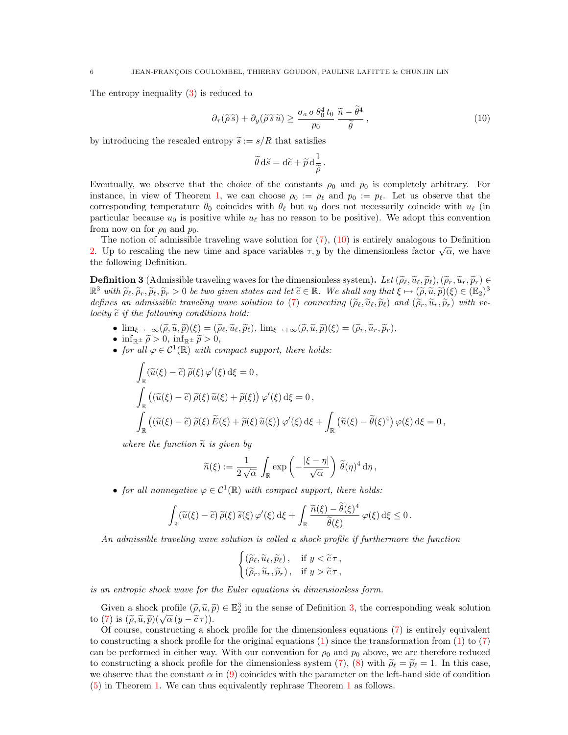The entropy inequality [\(3\)](#page-1-1) is reduced to

<span id="page-5-0"></span>
$$
\partial_{\tau}(\widetilde{\rho}\,\widetilde{s}) + \partial_{y}(\widetilde{\rho}\,\widetilde{s}\,\widetilde{u}) \ge \frac{\sigma_{a}\,\sigma\,\theta_{0}^{4}\,t_{0}}{p_{0}}\,\frac{\widetilde{n} - \widetilde{\theta}^{4}}{\widetilde{\theta}},\tag{10}
$$

.

by introducing the rescaled entropy  $\tilde{s} := s/R$  that satisfies

$$
\widetilde{\theta}\,\mathrm{d}\widetilde{s} = \mathrm{d}\widetilde{e} + \widetilde{p}\,\mathrm{d}\frac{1}{\widetilde{\rho}}
$$

Eventually, we observe that the choice of the constants  $\rho_0$  and  $p_0$  is completely arbitrary. For instance, in view of Theorem [1,](#page-3-3) we can choose  $\rho_0 := \rho_\ell$  and  $p_0 := p_\ell$ . Let us observe that the corresponding temperature  $\theta_0$  coincides with  $\theta_\ell$  but  $u_0$  does not necessarily coincide with  $u_\ell$  (in particular because  $u_0$  is positive while  $u_\ell$  has no reason to be positive). We adopt this convention from now on for  $\rho_0$  and  $p_0$ .

The notion of admissible traveling wave solution for  $(7)$ ,  $(10)$  is entirely analogous to Definition The notion of admissible traveling wave solution for (*i*), (10) is entriery analogous to Demntron [2.](#page-2-1) Up to rescaling the new time and space variables  $\tau$ , y by the dimensionless factor  $\sqrt{\alpha}$ , we have the following Definition.

<span id="page-5-1"></span>**Definition 3** (Admissible traveling waves for the dimensionless system). Let  $(\tilde{\rho}_\ell, \tilde{u}_\ell, \tilde{p}_\ell), (\tilde{\rho}_r, \tilde{u}_r, \tilde{p}_r) \in$  $\mathbb{R}^3$  with  $\widetilde{\rho}_\ell, \widetilde{\rho}_r, \widetilde{p}_\ell, \widetilde{p}_r > 0$  be two given states and let  $\widetilde{c} \in \mathbb{R}$ . We shall say that  $\widetilde{\xi} \mapsto (\widetilde{\rho}, \widetilde{u}, \widetilde{p})(\xi) \in (\mathbb{E}_2)^3$ <br>defines an admissible traveling surve solution to defines an admissible traveling wave solution to [\(7\)](#page-4-2) connecting  $(\tilde{\rho}_\ell, \tilde{u}_\ell, \tilde{\rho}_\ell)$  and  $(\tilde{\rho}_r, \tilde{u}_r, \tilde{\rho}_r)$  with velocity  $\tilde{c}$  if the following conditions hold:

- $\lim_{\xi \to -\infty} (\tilde{\rho}, \tilde{u}, \tilde{p})(\xi) = (\tilde{\rho}_{\ell}, \tilde{u}_{\ell}, \tilde{p}_{\ell}), \lim_{\xi \to +\infty} (\tilde{\rho}, \tilde{u}, \tilde{p})(\xi) = (\tilde{\rho}_{r}, \tilde{u}_{r}, \tilde{p}_{r}),$
- $\inf_{\mathbb{R}^{\pm}} \tilde{\rho} > 0$ ,  $\inf_{\mathbb{R}^{\pm}} \tilde{p} > 0$ ,
- for all  $\varphi \in C^1(\mathbb{R})$  with compact support, there holds:

$$
\int_{\mathbb{R}} (\widetilde{u}(\xi) - \widetilde{c}) \widetilde{\rho}(\xi) \varphi'(\xi) d\xi = 0,
$$
\n
$$
\int_{\mathbb{R}} ((\widetilde{u}(\xi) - \widetilde{c}) \widetilde{\rho}(\xi) \widetilde{u}(\xi) + \widetilde{p}(\xi)) \varphi'(\xi) d\xi = 0,
$$
\n
$$
\int_{\mathbb{R}} ((\widetilde{u}(\xi) - \widetilde{c}) \widetilde{\rho}(\xi) \widetilde{E}(\xi) + \widetilde{p}(\xi) \widetilde{u}(\xi)) \varphi'(\xi) d\xi + \int_{\mathbb{R}} (\widetilde{n}(\xi) - \widetilde{\theta}(\xi)^4) \varphi(\xi) d\xi = 0,
$$

where the function  $\tilde{n}$  is given by

$$
\widetilde{n}(\xi) := \frac{1}{2\sqrt{\alpha}} \int_{\mathbb{R}} \exp\left(-\frac{|\xi - \eta|}{\sqrt{\alpha}}\right) \widetilde{\theta}(\eta)^4 d\eta,
$$

• for all nonnegative  $\varphi \in C^1(\mathbb{R})$  with compact support, there holds:

$$
\int_{\mathbb{R}} (\widetilde{u}(\xi) - \widetilde{c}) \, \widetilde{\rho}(\xi) \, \widetilde{s}(\xi) \, \varphi'(\xi) \, \mathrm{d}\xi + \int_{\mathbb{R}} \frac{\widetilde{n}(\xi) - \widetilde{\theta}(\xi)^4}{\widetilde{\theta}(\xi)} \, \varphi(\xi) \, \mathrm{d}\xi \le 0 \, .
$$

An admissible traveling wave solution is called a shock profile if furthermore the function

$$
\begin{cases} (\widetilde{\rho}_{\ell},\widetilde{u}_{\ell},\widetilde{p}_{\ell}), & \text{if } y < \widetilde{c}\,\tau, \\ (\widetilde{\rho}_{r},\widetilde{u}_{r},\widetilde{p}_{r}), & \text{if } y > \widetilde{c}\,\tau, \end{cases}
$$

is an entropic shock wave for the Euler equations in dimensionless form.

Given a shock profile  $(\tilde{\rho}, \tilde{u}, \tilde{p}) \in \mathbb{E}_2^3$  in the sense of Definition [3,](#page-5-1) the corresponding weak solution  $(7)$  is  $(\tilde{\rho}, \tilde{u}, \tilde{p}) \left( \tilde{\rho}(u - \tilde{\rho}\tau) \right)$ to [\(7\)](#page-4-2) is  $(\tilde{\rho}, \tilde{u}, \tilde{p})(\sqrt{\alpha}(y - \tilde{c}\tau))$ .<br>Continuous construction as the construction of  $\alpha$ .

<span id="page-5-2"></span>Of course, constructing a shock profile for the dimensionless equations  $(7)$  is entirely equivalent to constructing a shock profile for the original equations  $(1)$  since the transformation from  $(1)$  to  $(7)$ can be performed in either way. With our convention for  $\rho_0$  and  $p_0$  above, we are therefore reduced to constructing a shock profile for the dimensionless system [\(7\)](#page-4-2), [\(8\)](#page-4-3) with  $\tilde{\rho}_{\ell} = \tilde{p}_{\ell} = 1$ . In this case, we observe that the constant  $\alpha$  in [\(9\)](#page-4-4) coincides with the parameter on the left-hand side of condition [\(5\)](#page-3-2) in Theorem [1.](#page-3-3) We can thus equivalently rephrase Theorem [1](#page-3-3) as follows.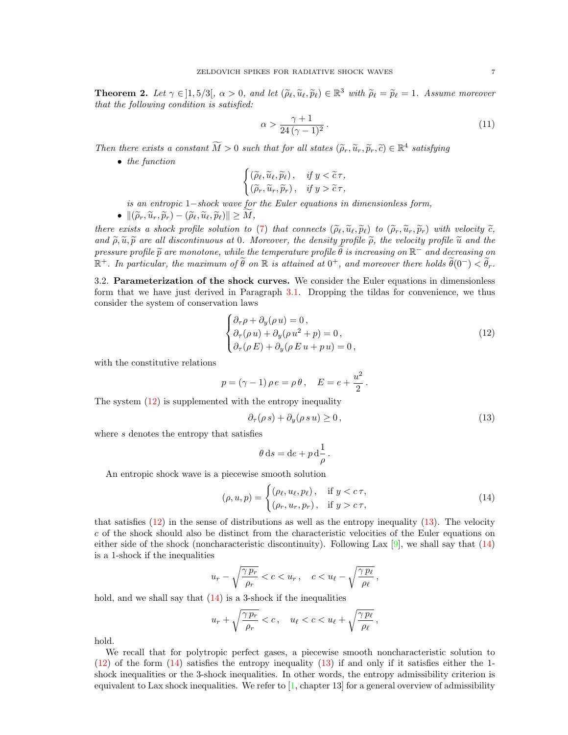**Theorem 2.** Let  $\gamma \in ]1, 5/3[$ ,  $\alpha > 0$ , and let  $(\tilde{\rho}_{\ell}, \tilde{u}_{\ell}, \tilde{p}_{\ell}) \in \mathbb{R}^3$  with  $\tilde{\rho}_{\ell} = \tilde{p}_{\ell} = 1$ . Assume moreover that the following condition is satisfied:

<span id="page-6-4"></span>
$$
\alpha > \frac{\gamma + 1}{24 \left(\gamma - 1\right)^2} \,. \tag{11}
$$

Then there exists a constant  $\widetilde{M} > 0$  such that for all states  $(\widetilde{\rho}_r, \widetilde{u}_r, \widetilde{p}_r, \widetilde{c}) \in \mathbb{R}^4$  satisfying

• the function

$$
\begin{cases} (\widetilde{\rho}_{\ell},\widetilde{u}_{\ell},\widetilde{p}_{\ell}),& \text{if } y < \widetilde{c}\,\tau, \\ (\widetilde{\rho}_{r},\widetilde{u}_{r},\widetilde{p}_{r}), & \text{if } y > \widetilde{c}\,\tau, \end{cases}
$$

is an entropic 1−shock wave for the Euler equations in dimensionless form,

•  $\|(\widetilde{\rho}_r, \widetilde{u}_r, \widetilde{p}_r) - (\widetilde{\rho}_\ell, \widetilde{u}_\ell, \widetilde{p}_\ell)\| \geq M,$ 

there exists a shock profile solution to [\(7\)](#page-4-2) that connects  $(\tilde{\rho}_{\ell}, \tilde{u}_{\ell}, \tilde{p}_{\ell})$  to  $(\tilde{\rho}_r, \tilde{u}_r, \tilde{p}_r)$  with velocity  $\tilde{c}$ , and  $\tilde{\rho}, \tilde{u}, \tilde{p}$  are all discontinuous at 0. Moreover, the density profile  $\tilde{\rho}$ , the velocity profile  $\tilde{u}$  and the pressure profile  $\widetilde{p}$  are monotone, while the temperature profile  $\widetilde{\theta}$  is increasing on  $\mathbb{R}^-$  and decreasing on  $\mathbb{R}^+$ . In particular, the maximum of  $\widetilde{\theta}$  on  $\mathbb{R}$  is atteined at  $0^+$ , and measu  $\mathbb{R}^+$ . In particular, the maximum of  $\widetilde{\theta}$  on  $\mathbb R$  is attained at  $0^+$ , and moreover there holds  $\widetilde{\theta}(0^-) < \widetilde{\theta}_r$ .

<span id="page-6-0"></span>3.2. Parameterization of the shock curves. We consider the Euler equations in dimensionless form that we have just derived in Paragraph [3.1.](#page-4-5) Dropping the tildas for convenience, we thus consider the system of conservation laws

<span id="page-6-1"></span>
$$
\begin{cases} \partial_{\tau}\rho + \partial_{y}(\rho u) = 0, \\ \partial_{\tau}(\rho u) + \partial_{y}(\rho u^{2} + p) = 0, \\ \partial_{\tau}(\rho E) + \partial_{y}(\rho E u + p u) = 0, \end{cases}
$$
\n(12)

with the constitutive relations

$$
p = (\gamma - 1) \rho e = \rho \theta, \quad E = e + \frac{u^2}{2}.
$$

The system  $(12)$  is supplemented with the entropy inequality

<span id="page-6-2"></span>
$$
\partial_{\tau}(\rho s) + \partial_{y}(\rho s u) \ge 0, \qquad (13)
$$

where s denotes the entropy that satisfies

$$
\theta ds = de + p d \frac{1}{\rho}.
$$

An entropic shock wave is a piecewise smooth solution

<span id="page-6-3"></span>
$$
(\rho, u, p) = \begin{cases} (\rho_{\ell}, u_{\ell}, p_{\ell}), & \text{if } y < c\,\tau, \\ (\rho_r, u_r, p_r), & \text{if } y > c\,\tau, \end{cases}
$$
\n
$$
(14)
$$

that satisfies  $(12)$  in the sense of distributions as well as the entropy inequality  $(13)$ . The velocity c of the shock should also be distinct from the characteristic velocities of the Euler equations on either side of the shock (noncharacteristic discontinuity). Following Lax  $[9]$ , we shall say that  $(14)$ is a 1-shock if the inequalities

$$
u_r - \sqrt{\frac{\gamma p_r}{\rho_r}} < c < u_r \,, \quad c < u_\ell - \sqrt{\frac{\gamma p_\ell}{\rho_\ell}} \,,
$$

hold, and we shall say that  $(14)$  is a 3-shock if the inequalities

$$
u_r + \sqrt{\frac{\gamma p_r}{\rho_r}} < c, \quad u_\ell < c < u_\ell + \sqrt{\frac{\gamma p_\ell}{\rho_\ell}},
$$

hold.

We recall that for polytropic perfect gases, a piecewise smooth noncharacteristic solution to  $(12)$  of the form  $(14)$  satisfies the entropy inequality  $(13)$  if and only if it satisfies either the 1shock inequalities or the 3-shock inequalities. In other words, the entropy admissibility criterion is equivalent to Lax shock inequalities. We refer to  $[1]$ , chapter 13 for a general overview of admissibility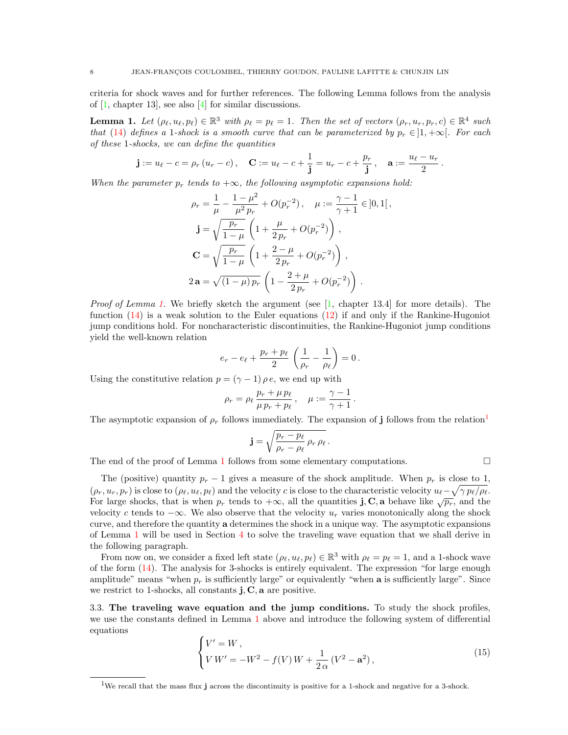criteria for shock waves and for further references. The following Lemma follows from the analysis of [\[1,](#page-19-3) chapter 13], see also [\[4\]](#page-19-2) for similar discussions.

<span id="page-7-0"></span>**Lemma 1.** Let  $(\rho_\ell, u_\ell, p_\ell) \in \mathbb{R}^3$  with  $\rho_\ell = p_\ell = 1$ . Then the set of vectors  $(\rho_r, u_r, p_r, c) \in \mathbb{R}^4$  such that [\(14\)](#page-6-3) defines a 1-shock is a smooth curve that can be parameterized by  $p_r \in ]1, +\infty[$ . For each of these 1-shocks, we can define the quantities

$$
\mathbf{j} := u_{\ell} - c = \rho_r (u_r - c), \quad \mathbf{C} := u_{\ell} - c + \frac{1}{\mathbf{j}} = u_r - c + \frac{p_r}{\mathbf{j}}, \quad \mathbf{a} := \frac{u_{\ell} - u_r}{2}.
$$

When the parameter  $p_r$  tends to  $+\infty$ , the following asymptotic expansions hold:

$$
\rho_r = \frac{1}{\mu} - \frac{1 - \mu^2}{\mu^2 p_r} + O(p_r^{-2}), \quad \mu := \frac{\gamma - 1}{\gamma + 1} \in ]0, 1[,
$$
  
\n
$$
\mathbf{j} = \sqrt{\frac{p_r}{1 - \mu}} \left( 1 + \frac{\mu}{2 p_r} + O(p_r^{-2}) \right),
$$
  
\n
$$
\mathbf{C} = \sqrt{\frac{p_r}{1 - \mu}} \left( 1 + \frac{2 - \mu}{2 p_r} + O(p_r^{-2}) \right),
$$
  
\n
$$
2 \mathbf{a} = \sqrt{(1 - \mu) p_r} \left( 1 - \frac{2 + \mu}{2 p_r} + O(p_r^{-2}) \right).
$$

*Proof of Lemma [1.](#page-7-0)* We briefly sketch the argument (see  $\begin{bmatrix} 1 \\ 1 \end{bmatrix}$ , chapter 13.4] for more details). The function [\(14\)](#page-6-3) is a weak solution to the Euler equations [\(12\)](#page-6-1) if and only if the Rankine-Hugoniot jump conditions hold. For noncharacteristic discontinuities, the Rankine-Hugoniot jump conditions yield the well-known relation

$$
e_r - e_{\ell} + \frac{p_r + p_{\ell}}{2} \left( \frac{1}{\rho_r} - \frac{1}{\rho_{\ell}} \right) = 0.
$$

Using the constitutive relation  $p = (\gamma - 1) \rho e$ , we end up with

$$
\rho_r = \rho_\ell \frac{p_r + \mu p_\ell}{\mu p_r + p_\ell}, \quad \mu := \frac{\gamma - 1}{\gamma + 1}.
$$

The asymptotic expansion of  $\rho_r$  follows immediately. The expansion of j follows from the relation<sup>[1](#page-7-1)</sup>

$$
\mathbf{j} = \sqrt{\frac{p_r - p_\ell}{\rho_r - \rho_\ell} \rho_r \rho_\ell}.
$$

The end of the proof of Lemma [1](#page-7-0) follows from some elementary computations.  $\Box$ 

The (positive) quantity  $p_r - 1$  gives a measure of the shock amplitude. When  $p_r$  is close to 1,  $(\rho_r, u_r, p_r)$  is close to  $(\rho_\ell, u_\ell, p_\ell)$  and the velocity c is close to the characteristic velocity  $u_\ell - \sqrt{\gamma p_\ell/\rho_\ell}$ . For large shocks, that is when  $p_r$  tends to  $+\infty$ , all the quantities j, C, a behave like  $\sqrt{p_r}$ , and the velocity c tends to  $-\infty$ . We also observe that the velocity  $u_r$  varies monotonically along the shock curve, and therefore the quantity a determines the shock in a unique way. The asymptotic expansions of Lemma [1](#page-7-0) will be used in Section [4](#page-10-0) to solve the traveling wave equation that we shall derive in the following paragraph.

From now on, we consider a fixed left state  $(\rho_\ell, u_\ell, p_\ell) \in \mathbb{R}^3$  with  $\rho_\ell = p_\ell = 1$ , and a 1-shock wave of the form [\(14\)](#page-6-3). The analysis for 3-shocks is entirely equivalent. The expression "for large enough amplitude" means "when  $p_r$  is sufficiently large" or equivalently "when **a** is sufficiently large". Since we restrict to 1-shocks, all constants **j**, **C**, **a** are positive.

3.3. The traveling wave equation and the jump conditions. To study the shock profiles, we use the constants defined in Lemma [1](#page-7-0) above and introduce the following system of differential equations

<span id="page-7-2"></span>
$$
\begin{cases} V' = W, \\ V W' = -W^2 - f(V) W + \frac{1}{2\alpha} (V^2 - \mathbf{a}^2), \end{cases}
$$
 (15)

<span id="page-7-1"></span><sup>&</sup>lt;sup>1</sup>We recall that the mass flux j across the discontinuity is positive for a 1-shock and negative for a 3-shock.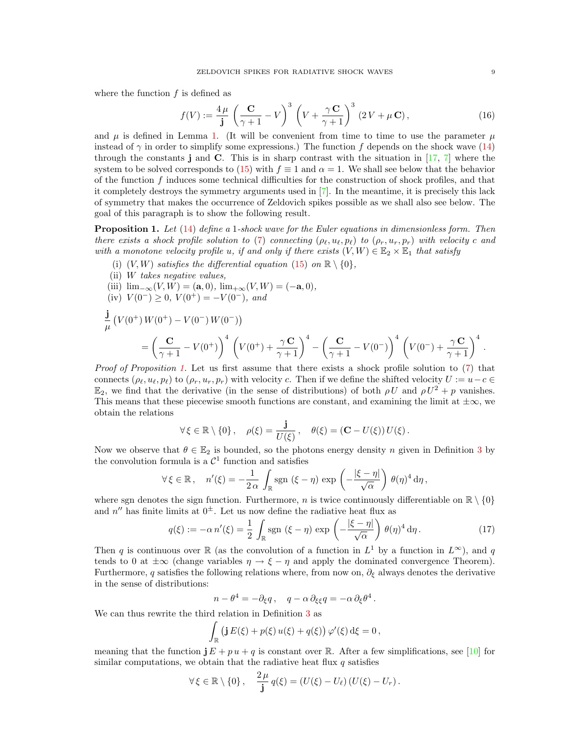where the function  $f$  is defined as

<span id="page-8-1"></span>
$$
f(V) := \frac{4\,\mu}{\mathbf{j}} \left(\frac{\mathbf{C}}{\gamma + 1} - V\right)^3 \left(V + \frac{\gamma \mathbf{C}}{\gamma + 1}\right)^3 (2V + \mu \mathbf{C}),\tag{16}
$$

and  $\mu$  is defined in Lemma [1.](#page-7-0) (It will be convenient from time to time to use the parameter  $\mu$ instead of  $\gamma$  in order to simplify some expressions.) The function f depends on the shock wave [\(14\)](#page-6-3) through the constants j and C. This is in sharp contrast with the situation in [\[17,](#page-20-7) [7\]](#page-20-6) where the system to be solved corresponds to [\(15\)](#page-7-2) with  $f \equiv 1$  and  $\alpha = 1$ . We shall see below that the behavior of the function f induces some technical difficulties for the construction of shock profiles, and that it completely destroys the symmetry arguments used in [\[7\]](#page-20-6). In the meantime, it is precisely this lack of symmetry that makes the occurrence of Zeldovich spikes possible as we shall also see below. The goal of this paragraph is to show the following result.

<span id="page-8-0"></span>**Proposition 1.** Let  $(14)$  define a 1-shock wave for the Euler equations in dimensionless form. Then there exists a shock profile solution to [\(7\)](#page-4-2) connecting  $(\rho_\ell, u_\ell, p_\ell)$  to  $(\rho_r, u_r, p_r)$  with velocity c and with a monotone velocity profile u, if and only if there exists  $(V, W) \in \mathbb{E}_2 \times \mathbb{E}_1$  that satisfy

- (i)  $(V, W)$  satisfies the differential equation [\(15\)](#page-7-2) on  $\mathbb{R} \setminus \{0\}$ ,
- (ii) W takes negative values,

(iii) 
$$
\lim_{-\infty} (V, W) = (\mathbf{a}, 0), \lim_{+\infty} (V, W) = (-\mathbf{a}, 0),
$$

(iv)  $V(0^-) \geq 0$ ,  $V(0^+) = -V(0^-)$ , and

$$
\frac{\mathbf{j}}{\mu} \left( V(0^+) W(0^+) - V(0^-) W(0^-) \right) = \left( \frac{\mathbf{C}}{\gamma + 1} - V(0^+) \right)^4 \left( V(0^+) + \frac{\gamma \mathbf{C}}{\gamma + 1} \right)^4 - \left( \frac{\mathbf{C}}{\gamma + 1} - V(0^-) \right)^4 \left( V(0^-) + \frac{\gamma \mathbf{C}}{\gamma + 1} \right)^4.
$$

Proof of Proposition [1.](#page-8-0) Let us first assume that there exists a shock profile solution to [\(7\)](#page-4-2) that connects  $(\rho_\ell, u_\ell, p_\ell)$  to  $(\rho_r, u_r, p_r)$  with velocity c. Then if we define the shifted velocity  $U := u-c \in$  $\mathbb{E}_2$ , we find that the derivative (in the sense of distributions) of both  $\rho U$  and  $\rho U^2 + p$  vanishes. This means that these piecewise smooth functions are constant, and examining the limit at  $\pm \infty$ , we obtain the relations

$$
\forall \xi \in \mathbb{R} \setminus \{0\}, \quad \rho(\xi) = \frac{\mathbf{j}}{U(\xi)}, \quad \theta(\xi) = (\mathbf{C} - U(\xi)) U(\xi).
$$

Now we observe that  $\theta \in \mathbb{E}_2$  is bounded, so the photons energy density n given in Definition [3](#page-5-1) by the convolution formula is a  $\mathcal{C}^1$  function and satisfies

$$
\forall \xi \in \mathbb{R}, \quad n'(\xi) = -\frac{1}{2\alpha} \int_{\mathbb{R}} \text{sgn} \left( \xi - \eta \right) \exp \left( -\frac{|\xi - \eta|}{\sqrt{\alpha}} \right) \theta(\eta)^4 d\eta,
$$

where sgn denotes the sign function. Furthermore, n is twice continuously differentiable on  $\mathbb{R} \setminus \{0\}$ and  $n''$  has finite limits at  $0^{\pm}$ . Let us now define the radiative heat flux as

$$
q(\xi) := -\alpha n'(\xi) = \frac{1}{2} \int_{\mathbb{R}} \text{sgn} \, (\xi - \eta) \, \exp\left(-\frac{|\xi - \eta|}{\sqrt{\alpha}}\right) \, \theta(\eta)^4 \, \mathrm{d}\eta \,. \tag{17}
$$

Then q is continuous over R (as the convolution of a function in  $L^1$  by a function in  $L^{\infty}$ ), and q tends to 0 at  $\pm\infty$  (change variables  $\eta \to \xi - \eta$  and apply the dominated convergence Theorem). Furthermore, q satisfies the following relations where, from now on,  $\partial_{\xi}$  always denotes the derivative in the sense of distributions:

$$
n - \theta^4 = -\partial_{\xi} q \,, \quad q - \alpha \, \partial_{\xi} q = -\alpha \, \partial_{\xi} \theta^4 \,.
$$

We can thus rewrite the third relation in Definition [3](#page-5-1) as

$$
\int_{\mathbb{R}} \left( \mathbf{j} E(\xi) + p(\xi) u(\xi) + q(\xi) \right) \varphi'(\xi) d\xi = 0,
$$

meaning that the function  $j E + p u + q$  is constant over R. After a few simplifications, see [\[10\]](#page-20-0) for similar computations, we obtain that the radiative heat flux  $q$  satisfies

$$
\forall \xi \in \mathbb{R} \setminus \{0\}, \quad \frac{2\,\mu}{\mathbf{j}} q(\xi) = (U(\xi) - U_\ell) (U(\xi) - U_r).
$$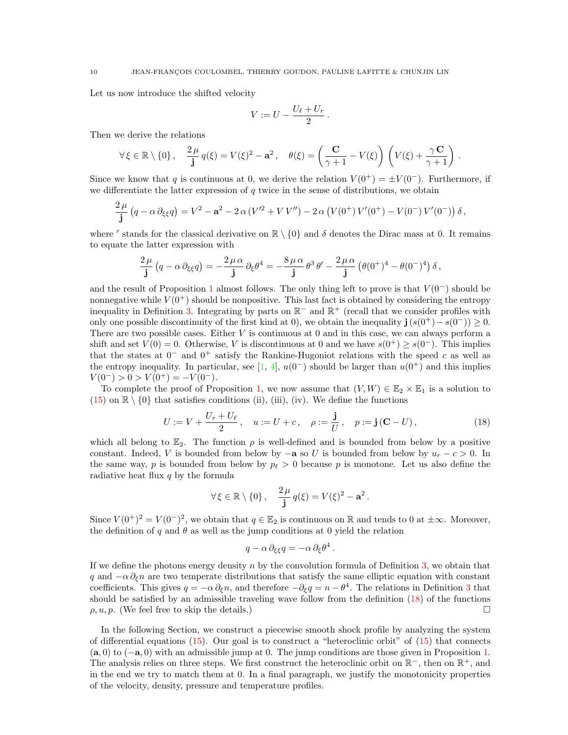Let us now introduce the shifted velocity

$$
V := U - \frac{U_{\ell} + U_r}{2}.
$$

Then we derive the relations

$$
\forall \xi \in \mathbb{R} \setminus \{0\}, \quad \frac{2\mu}{\mathbf{j}} q(\xi) = V(\xi)^2 - \mathbf{a}^2, \quad \theta(\xi) = \left(\frac{\mathbf{C}}{\gamma + 1} - V(\xi)\right) \left(V(\xi) + \frac{\gamma \mathbf{C}}{\gamma + 1}\right).
$$

Since we know that q is continuous at 0, we derive the relation  $V(0^+) = \pm V(0^-)$ . Furthermore, if we differentiate the latter expression of  $q$  twice in the sense of distributions, we obtain

$$
\frac{2\,\mu}{\mathbf{j}}\left(q-\alpha\,\partial_{\xi\xi}q\right)=V^2-\mathbf{a}^2-2\,\alpha\,(V'^2+VV'')-2\,\alpha\left(V(0^+)V'(0^+)-V(0^-)\,V'(0^-)\right)\delta\,,
$$

where ' stands for the classical derivative on  $\mathbb{R} \setminus \{0\}$  and  $\delta$  denotes the Dirac mass at 0. It remains to equate the latter expression with

$$
\frac{2\,\mu}{\mathbf{j}}\left(q-\alpha\,\partial_{\xi\xi}q\right)=-\frac{2\,\mu\,\alpha}{\mathbf{j}}\,\partial_{\xi}\theta^4=-\frac{8\,\mu\,\alpha}{\mathbf{j}}\,\theta^3\,\theta'-\frac{2\,\mu\,\alpha}{\mathbf{j}}\left(\theta(0^+)^4-\theta(0^-)^4\right)\delta\,,
$$

and the result of Proposition [1](#page-8-0) almost follows. The only thing left to prove is that  $V(0^-)$  should be nonnegative while  $V(0^+)$  should be nonpositive. This last fact is obtained by considering the entropy inequality in Definition [3.](#page-5-1) Integrating by parts on  $\mathbb{R}^-$  and  $\mathbb{R}^+$  (recall that we consider profiles with only one possible discontinuity of the first kind at 0), we obtain the inequality  $\mathbf{j}(s(0^+) - s(0^-)) \geq 0$ . There are two possible cases. Either V is continuous at 0 and in this case, we can always perform a shift and set  $V(0) = 0$ . Otherwise, V is discontinuous at 0 and we have  $s(0^+) > s(0^-)$ . This implies that the states at  $0^-$  and  $0^+$  satisfy the Rankine-Hugoniot relations with the speed c as well as the entropy inequality. In particular, see [\[1,](#page-19-3) [4\]](#page-19-2),  $u(0^-)$  should be larger than  $u(0^+)$  and this implies  $V(0^-) > 0 > V(0^+) = -V(0^-).$ 

To complete the proof of Proposition [1,](#page-8-0) we now assume that  $(V, W) \in \mathbb{E}_2 \times \mathbb{E}_1$  is a solution to  $(15)$  on  $\mathbb{R} \setminus \{0\}$  that satisfies conditions (ii), (iii), (iv). We define the functions

<span id="page-9-0"></span>
$$
U := V + \frac{U_r + U_\ell}{2}, \quad u := U + c, \quad \rho := \frac{\mathbf{j}}{U}, \quad p := \mathbf{j}(\mathbf{C} - U), \tag{18}
$$

.

which all belong to  $\mathbb{E}_2$ . The function  $\rho$  is well-defined and is bounded from below by a positive constant. Indeed, V is bounded from below by  $-a$  so U is bounded from below by  $u_r - c > 0$ . In the same way, p is bounded from below by  $p_{\ell} > 0$  because p is monotone. Let us also define the radiative heat flux  $q$  by the formula

$$
\forall \xi \in \mathbb{R} \setminus \{0\}, \quad \frac{2\,\mu}{\mathbf{j}} q(\xi) = V(\xi)^2 - \mathbf{a}^2.
$$

Since  $V(0^+)^2 = V(0^-)^2$ , we obtain that  $q \in \mathbb{E}_2$  is continuous on R and tends to 0 at  $\pm \infty$ . Moreover, the definition of q and  $\theta$  as well as the jump conditions at 0 yield the relation

$$
q - \alpha \, \partial_{\xi\xi} q = -\alpha \, \partial_{\xi} \theta^4
$$

If we define the photons energy density  $n$  by the convolution formula of Definition [3,](#page-5-1) we obtain that q and  $-\alpha \partial_{\xi} n$  are two temperate distributions that satisfy the same elliptic equation with constant coefficients. This gives  $q = -\alpha \partial_{\xi} n$ , and therefore  $-\partial_{\xi} q = n - \theta^4$ . The relations in Definition [3](#page-5-1) that should be satisfied by an admissible traveling wave follow from the definition [\(18\)](#page-9-0) of the functions  $\rho, u, p.$  (We feel free to skip the details.)

In the following Section, we construct a piecewise smooth shock profile by analyzing the system of differential equations [\(15\)](#page-7-2). Our goal is to construct a "heteroclinic orbit" of [\(15\)](#page-7-2) that connects  $(a, 0)$  to  $(-a, 0)$  with an admissible jump at 0. The jump conditions are those given in Proposition [1.](#page-8-0) The analysis relies on three steps. We first construct the heteroclinic orbit on  $\mathbb{R}^-$ , then on  $\mathbb{R}^+$ , and in the end we try to match them at 0. In a final paragraph, we justify the monotonicity properties of the velocity, density, pressure and temperature profiles.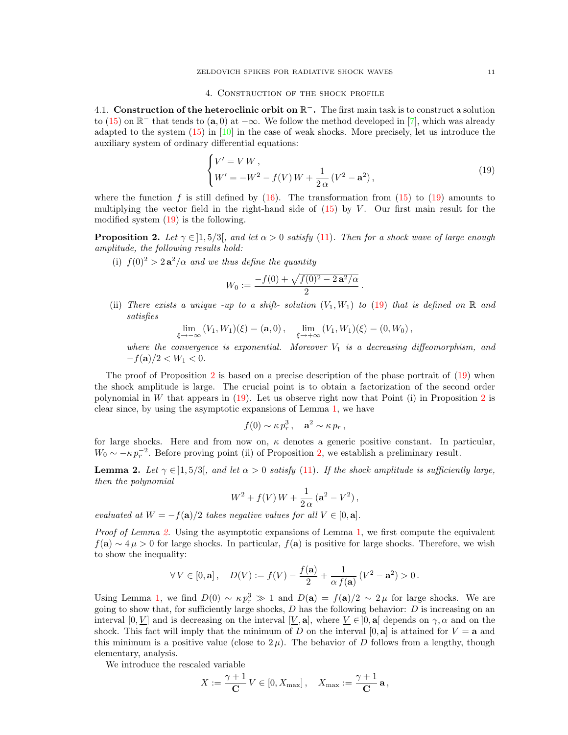<span id="page-10-0"></span>4.1. Construction of the heteroclinic orbit on  $\mathbb{R}^-$ . The first main task is to construct a solution to [\(15\)](#page-7-2) on  $\mathbb{R}^-$  that tends to  $(a, 0)$  at  $-\infty$ . We follow the method developed in [\[7\]](#page-20-6), which was already adapted to the system [\(15\)](#page-7-2) in [\[10\]](#page-20-0) in the case of weak shocks. More precisely, let us introduce the auxiliary system of ordinary differential equations:

<span id="page-10-1"></span>
$$
\begin{cases}\nV' = VW, \\
W' = -W^2 - f(V)W + \frac{1}{2\alpha}(V^2 - \mathbf{a}^2),\n\end{cases}
$$
\n(19)

where the function f is still defined by  $(16)$ . The transformation from  $(15)$  to  $(19)$  amounts to multiplying the vector field in the right-hand side of  $(15)$  by V. Our first main result for the modified system [\(19\)](#page-10-1) is the following.

<span id="page-10-2"></span>**Proposition 2.** Let  $\gamma \in [1, 5/3]$ , and let  $\alpha > 0$  satisfy [\(11\)](#page-6-4). Then for a shock wave of large enough amplitude, the following results hold:

(i)  $f(0)^2 > 2a^2/\alpha$  and we thus define the quantity

$$
W_0 := \frac{-f(0) + \sqrt{f(0)^2 - 2a^2/\alpha}}{2}.
$$

(ii) There exists a unique -up to a shift- solution  $(V_1, W_1)$  to [\(19\)](#page-10-1) that is defined on R and satisfies

$$
\lim_{\xi \to -\infty} (V_1, W_1)(\xi) = (\mathbf{a}, 0), \quad \lim_{\xi \to +\infty} (V_1, W_1)(\xi) = (0, W_0),
$$

where the convergence is exponential. Moreover  $V_1$  is a decreasing diffeomorphism, and  $-f(\mathbf{a})/2 < W_1 < 0.$ 

The proof of Proposition [2](#page-10-2) is based on a precise description of the phase portrait of  $(19)$  when the shock amplitude is large. The crucial point is to obtain a factorization of the second order polynomial in W that appears in  $(19)$ . Let us observe right now that Point  $(i)$  in Proposition [2](#page-10-2) is clear since, by using the asymptotic expansions of Lemma [1,](#page-7-0) we have

$$
f(0) \sim \kappa p_r^3
$$
,  $\mathbf{a}^2 \sim \kappa p_r$ ,

for large shocks. Here and from now on,  $\kappa$  denotes a generic positive constant. In particular,  $W_0 \sim -\kappa p_r^{-2}$ . Before proving point (ii) of Proposition [2,](#page-10-2) we establish a preliminary result.

<span id="page-10-3"></span>**Lemma 2.** Let  $\gamma \in [1, 5/3]$ , and let  $\alpha > 0$  satisfy [\(11\)](#page-6-4). If the shock amplitude is sufficiently large, then the polynomial

$$
W^{2} + f(V)W + \frac{1}{2\alpha} (a^{2} - V^{2}),
$$

evaluated at  $W = -f(\mathbf{a})/2$  takes negative values for all  $V \in [0, \mathbf{a}]$ .

Proof of Lemma [2.](#page-10-3) Using the asymptotic expansions of Lemma [1,](#page-7-0) we first compute the equivalent  $f(\mathbf{a}) \sim 4 \mu > 0$  for large shocks. In particular,  $f(\mathbf{a})$  is positive for large shocks. Therefore, we wish to show the inequality:

$$
\forall V \in [0, \mathbf{a}], \quad D(V) := f(V) - \frac{f(\mathbf{a})}{2} + \frac{1}{\alpha f(\mathbf{a})} (V^2 - \mathbf{a}^2) > 0.
$$

Using Lemma [1,](#page-7-0) we find  $D(0) \sim \kappa p_r^3 \gg 1$  and  $D(\mathbf{a}) = f(\mathbf{a})/2 \sim 2 \mu$  for large shocks. We are going to show that, for sufficiently large shocks,  $D$  has the following behavior:  $D$  is increasing on an interval [0, V] and is decreasing on the interval [V, a], where  $V \in ]0, a]$  depends on  $\gamma, \alpha$  and on the shock. This fact will imply that the minimum of D on the interval  $[0, a]$  is attained for  $V = a$  and this minimum is a positive value (close to  $2\mu$ ). The behavior of D follows from a lengthy, though elementary, analysis.

We introduce the rescaled variable

$$
X := \frac{\gamma + 1}{\mathbf{C}} V \in [0, X_{\max}], \quad X_{\max} := \frac{\gamma + 1}{\mathbf{C}} \mathbf{a},
$$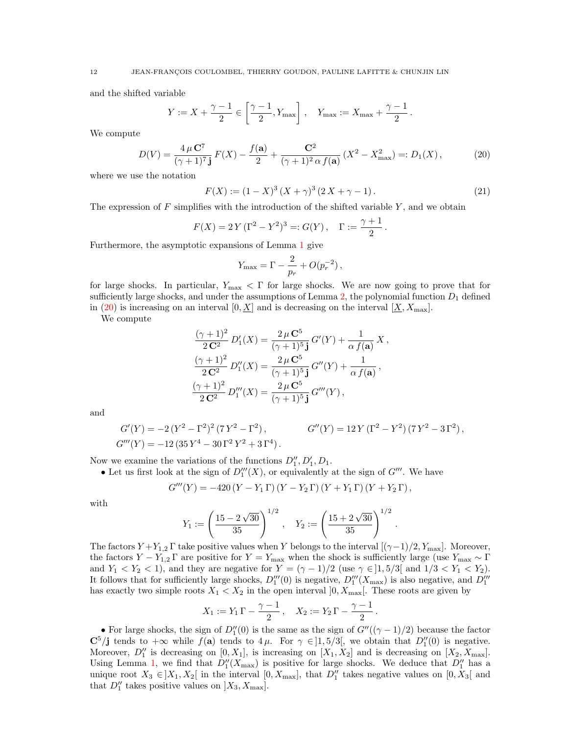and the shifted variable

$$
Y := X + \frac{\gamma - 1}{2} \in \left[\frac{\gamma - 1}{2}, Y_{\text{max}}\right], \quad Y_{\text{max}} := X_{\text{max}} + \frac{\gamma - 1}{2}.
$$

We compute

<span id="page-11-0"></span>
$$
D(V) = \frac{4 \,\mu \, \mathbf{C}^7}{(\gamma + 1)^7 \,\mathbf{j}} \, F(X) - \frac{f(\mathbf{a})}{2} + \frac{\mathbf{C}^2}{(\gamma + 1)^2 \,\alpha \, f(\mathbf{a})} \left(X^2 - X_{\text{max}}^2\right) =: D_1(X) \,,\tag{20}
$$

where we use the notation

<span id="page-11-1"></span>
$$
F(X) := (1 - X)^3 (X + \gamma)^3 (2X + \gamma - 1).
$$
 (21)

.

.

The expression of  $F$  simplifies with the introduction of the shifted variable  $Y$ , and we obtain

$$
F(X) = 2Y(\Gamma^2 - Y^2)^3 =: G(Y), \quad \Gamma := \frac{\gamma + 1}{2}
$$

Furthermore, the asymptotic expansions of Lemma [1](#page-7-0) give

$$
Y_{\text{max}} = \Gamma - \frac{2}{p_r} + O(p_r^{-2}),
$$

for large shocks. In particular,  $Y_{\text{max}} < \Gamma$  for large shocks. We are now going to prove that for sufficiently large shocks, and under the assumptions of Lemma [2,](#page-10-3) the polynomial function  $D_1$  defined in [\(20\)](#page-11-0) is increasing on an interval  $[0, X]$  and is decreasing on the interval  $[X, X_{\text{max}}]$ .

We compute

$$
\frac{(\gamma+1)^2}{2\mathbf{C}^2} D'_1(X) = \frac{2\,\mu\,\mathbf{C}^5}{(\gamma+1)^5} G'(Y) + \frac{1}{\alpha\,f(\mathbf{a})} X \,,
$$

$$
\frac{(\gamma+1)^2}{2\mathbf{C}^2} D''_1(X) = \frac{2\,\mu\,\mathbf{C}^5}{(\gamma+1)^5} G''(Y) + \frac{1}{\alpha\,f(\mathbf{a})} \,,
$$

$$
\frac{(\gamma+1)^2}{2\mathbf{C}^2} D'''_1(X) = \frac{2\,\mu\,\mathbf{C}^5}{(\gamma+1)^5} G'''(Y) \,,
$$

and

$$
G'(Y) = -2(Y^2 - \Gamma^2)^2 (7Y^2 - \Gamma^2), \qquad G''(Y) = 12Y(\Gamma^2 - Y^2)(7Y^2 - 3\Gamma^2),
$$
  

$$
G'''(Y) = -12(35Y^4 - 30\Gamma^2Y^2 + 3\Gamma^4).
$$

Now we examine the variations of the functions  $D''_1, D'_1, D_1$ .

• Let us first look at the sign of  $D_1'''(X)$ , or equivalently at the sign of  $G'''$ . We have

$$
G'''(Y) = -420 (Y - Y_1 \Gamma) (Y - Y_2 \Gamma) (Y + Y_1 \Gamma) (Y + Y_2 \Gamma),
$$

with

$$
Y_1 := \left(\frac{15 - 2\sqrt{30}}{35}\right)^{1/2}, \quad Y_2 := \left(\frac{15 + 2\sqrt{30}}{35}\right)^{1/2}
$$

The factors  $Y + Y_{1,2}$  Γ take positive values when Y belongs to the interval  $[(\gamma - 1)/2, Y_{\text{max}}]$ . Moreover, the factors  $Y - Y_{1,2} \Gamma$  are positive for  $Y = Y_{\text{max}}$  when the shock is sufficiently large (use  $Y_{\text{max}} \sim \Gamma$ ) and  $Y_1 < Y_2 < 1$ , and they are negative for  $Y = (\gamma - 1)/2$  (use  $\gamma \in ]1, 5/3[$  and  $1/3 < Y_1 < Y_2]$ ). It follows that for sufficiently large shocks,  $D_1'''(0)$  is negative,  $D_1'''(X_{\text{max}})$  is also negative, and  $D_1'''(0)$ has exactly two simple roots  $X_1 \leq X_2$  in the open interval  $]0, X_{\text{max}}[$ . These roots are given by

$$
X_1 := Y_1 \Gamma - \frac{\gamma - 1}{2}, \quad X_2 := Y_2 \Gamma - \frac{\gamma - 1}{2}.
$$

• For large shocks, the sign of  $D_1''(0)$  is the same as the sign of  $G''((\gamma - 1)/2)$  because the factor  $\mathbb{C}^5/\mathbf{j}$  tends to  $+\infty$  while  $f(\mathbf{a})$  tends to  $4\mu$ . For  $\gamma \in ]1,5/3[$ , we obtain that  $D''_1(0)$  is negative. Moreover,  $D_1''$  is decreasing on  $[0, X_1]$ , is increasing on  $[X_1, X_2]$  and is decreasing on  $[X_2, X_{\text{max}}]$ . Using Lemma [1,](#page-7-0) we find that  $D''_1(X_{\text{max}})$  is positive for large shocks. We deduce that  $D''_1$  has a unique root  $X_3 \in ]X_1, X_2[$  in the interval  $[0, X_{\text{max}}]$ , that  $D_1''$  takes negative values on  $[0, X_3[$  and that  $D_1''$  takes positive values on  $X_3, X_{\text{max}}$ .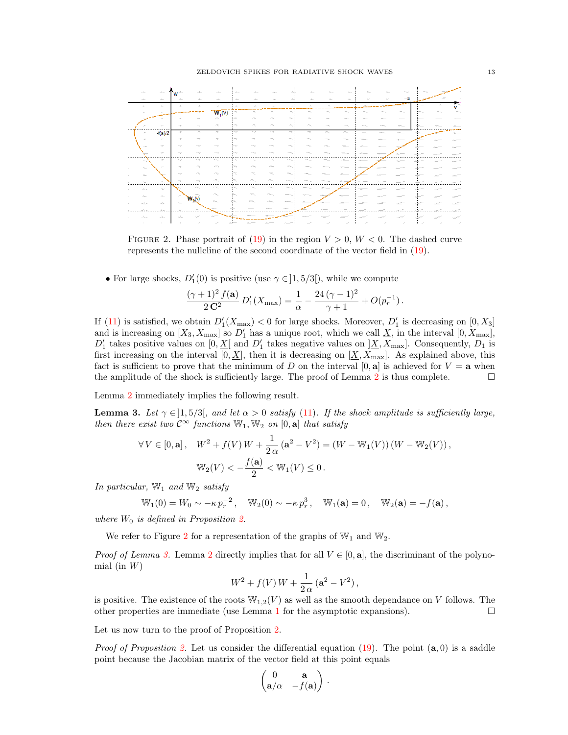

<span id="page-12-0"></span>FIGURE 2. Phase portrait of [\(19\)](#page-10-1) in the region  $V > 0$ ,  $W < 0$ . The dashed curve represents the nullcline of the second coordinate of the vector field in [\(19\)](#page-10-1).

• For large shocks,  $D'_1(0)$  is positive (use  $\gamma \in ]1, 5/3[$ ), while we compute

$$
\frac{(\gamma+1)^2 f(\mathbf{a})}{2\mathbf{C}^2} D_1'(X_{\max}) = \frac{1}{\alpha} - \frac{24(\gamma-1)^2}{\gamma+1} + O(p_r^{-1}).
$$

If [\(11\)](#page-6-4) is satisfied, we obtain  $D'_{1}(X_{\text{max}}) < 0$  for large shocks. Moreover,  $D'_{1}$  is decreasing on  $[0, X_{3}]$ and is increasing on  $[X_3, X_{\text{max}}]$  so  $D'_1$  has a unique root, which we call  $\underline{X}$ , in the interval  $[0, X_{\text{max}}]$ ,  $D'_1$  takes positive values on  $[0, \underline{X}]$  and  $D'_1$  takes negative values on  $[\underline{X}, X_{\text{max}}]$ . Consequently,  $D_1$  is first increasing on the interval  $[0, \underline{X}]$ , then it is decreasing on  $[\underline{X}, X_{\text{max}}]$ . As explained above, this fact is sufficient to prove that the minimum of D on the interval  $[0, a]$  is achieved for  $V = a$  when the amplitude of the shock is sufficiently large. The proof of Lemma [2](#page-10-3) is thus complete.  $\Box$ 

<span id="page-12-1"></span>Lemma [2](#page-10-3) immediately implies the following result.

**Lemma 3.** Let  $\gamma \in [1, 5/3]$ , and let  $\alpha > 0$  satisfy [\(11\)](#page-6-4). If the shock amplitude is sufficiently large, then there exist two  $\mathcal{C}^{\infty}$  functions  $\mathbb{W}_1, \mathbb{W}_2$  on  $[0, \mathbf{a}]$  that satisfy

$$
\forall V \in [0, \mathbf{a}], \quad W^2 + f(V)W + \frac{1}{2\alpha} (\mathbf{a}^2 - V^2) = (W - W_1(V))(W - W_2(V)),
$$
  

$$
W_2(V) < -\frac{f(\mathbf{a})}{2} < W_1(V) \le 0.
$$

In particular,  $\mathbb{W}_1$  and  $\mathbb{W}_2$  satisfy

$$
\mathbb{W}_1(0) = W_0 \sim -\kappa p_r^{-2}, \quad \mathbb{W}_2(0) \sim -\kappa p_r^3, \quad \mathbb{W}_1(\mathbf{a}) = 0, \quad \mathbb{W}_2(\mathbf{a}) = -f(\mathbf{a}),
$$

where  $W_0$  is defined in Proposition [2.](#page-10-2)

We refer to Figure [2](#page-12-0) for a representation of the graphs of  $\mathbb{W}_1$  and  $\mathbb{W}_2$ .

*Proof of Lemma [3.](#page-12-1)* Lemma [2](#page-10-3) directly implies that for all  $V \in [0, \mathbf{a}]$ , the discriminant of the polynomial (in  $W$ )

$$
W^{2} + f(V) W + \frac{1}{2 \alpha} (a^{2} - V^{2}),
$$

is positive. The existence of the roots  $\mathbb{W}_{1,2}(V)$  as well as the smooth dependance on V follows. The other properties are immediate (use Lemma [1](#page-7-0) for the asymptotic expansions).  $\Box$ 

Let us now turn to the proof of Proposition [2.](#page-10-2)

*Proof of Proposition [2.](#page-10-2)* Let us consider the differential equation  $(19)$ . The point  $(a, 0)$  is a saddle point because the Jacobian matrix of the vector field at this point equals

$$
\begin{pmatrix} 0 & \mathbf{a} \\ \mathbf{a}/\alpha & -f(\mathbf{a}) \end{pmatrix}.
$$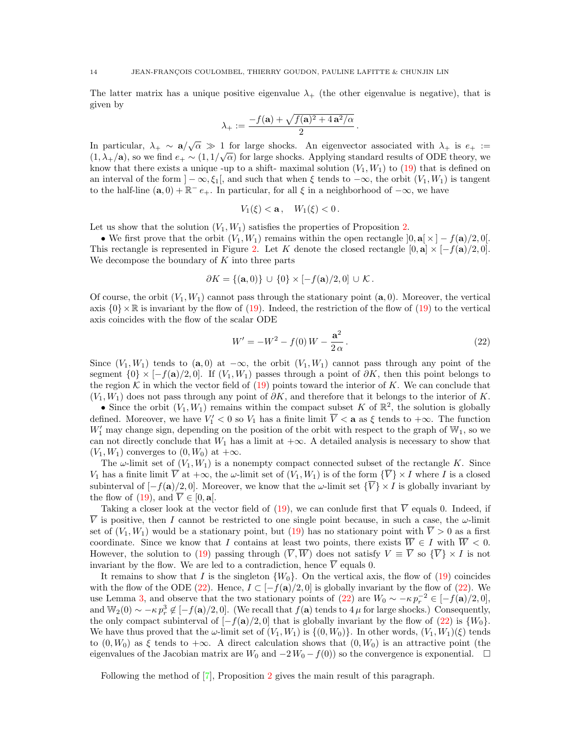The latter matrix has a unique positive eigenvalue  $\lambda_{+}$  (the other eigenvalue is negative), that is given by

$$
\lambda_+ := \frac{-f(\mathbf{a}) + \sqrt{f(\mathbf{a})^2 + 4\mathbf{a}^2/\alpha}}{2}.
$$

In particular,  $\lambda_+ \sim a/\sqrt{\alpha} \gg 1$  for large shocks. An eigenvector associated with  $\lambda_+$  is  $e_+ :=$  $(1, \lambda_+/\mathbf{a})$ , so we find  $e_+ \sim (1, 1/\sqrt{\alpha})$  for large shocks. Applying standard results of ODE theory, we know that there exists a unique -up to a shift- maximal solution  $(V_1, W_1)$  to  $(19)$  that is defined on an interval of the form  $]-\infty, \xi_1[$ , and such that when  $\xi$  tends to  $-\infty$ , the orbit  $(V_1, W_1)$  is tangent to the half-line  $(a, 0) + \mathbb{R}^- e_+$ . In particular, for all  $\xi$  in a neighborhood of  $-\infty$ , we have

$$
V_1(\xi) < \mathbf{a}, \quad W_1(\xi) < 0.
$$

Let us show that the solution  $(V_1, W_1)$  satisfies the properties of Proposition [2.](#page-10-2)

• We first prove that the orbit  $(V_1, W_1)$  remains within the open rectangle  $[0, a] \times [-f(a)/2, 0]$ . This rectangle is represented in Figure [2.](#page-12-0) Let K denote the closed rectangle  $[0, a] \times [-f(a)/2, 0]$ . We decompose the boundary of  $K$  into three parts

$$
\partial K = \{(\mathbf{a},0)\} \cup \{0\} \times [-f(\mathbf{a})/2,0] \cup \mathcal{K}.
$$

Of course, the orbit  $(V_1, W_1)$  cannot pass through the stationary point  $(a, 0)$ . Moreover, the vertical axis  $\{0\}\times\mathbb{R}$  is invariant by the flow of [\(19\)](#page-10-1). Indeed, the restriction of the flow of (19) to the vertical axis coincides with the flow of the scalar ODE

<span id="page-13-0"></span>
$$
W' = -W^2 - f(0)W - \frac{a^2}{2\alpha}.
$$
\n(22)

Since  $(V_1, W_1)$  tends to  $(a, 0)$  at  $-\infty$ , the orbit  $(V_1, W_1)$  cannot pass through any point of the segment  $\{0\} \times [-f(a)/2, 0]$ . If  $(V_1, W_1)$  passes through a point of  $\partial K$ , then this point belongs to the region K in which the vector field of  $(19)$  points toward the interior of K. We can conclude that  $(V_1, W_1)$  does not pass through any point of  $\partial K$ , and therefore that it belongs to the interior of K.

• Since the orbit  $(V_1, W_1)$  remains within the compact subset K of  $\mathbb{R}^2$ , the solution is globally defined. Moreover, we have  $V'_1 < 0$  so  $V_1$  has a finite limit  $\overline{V} < a$  as  $\xi$  tends to  $+\infty$ . The function  $W'_1$  may change sign, depending on the position of the orbit with respect to the graph of  $\mathbb{W}_1$ , so we can not directly conclude that  $W_1$  has a limit at  $+\infty$ . A detailed analysis is necessary to show that  $(V_1, W_1)$  converges to  $(0, W_0)$  at  $+\infty$ .

The  $\omega$ -limit set of  $(V_1, W_1)$  is a nonempty compact connected subset of the rectangle K. Since  $V_1$  has a finite limit  $\overline{V}$  at  $+\infty$ , the  $\omega$ -limit set of  $(V_1, W_1)$  is of the form  $\{\overline{V}\}\times I$  where I is a closed subinterval of  $[-f(\mathbf{a})/2, 0]$ . Moreover, we know that the  $\omega$ -limit set  $\{\overline{V}\}\times I$  is globally invariant by the flow of [\(19\)](#page-10-1), and  $\overline{V} \in [0, \mathbf{a}]$ .

Taking a closer look at the vector field of [\(19\)](#page-10-1), we can conlude first that  $\overline{V}$  equals 0. Indeed, if  $\overline{V}$  is positive, then I cannot be restricted to one single point because, in such a case, the  $\omega$ -limit set of  $(V_1, W_1)$  would be a stationary point, but [\(19\)](#page-10-1) has no stationary point with  $\overline{V} > 0$  as a first coordinate. Since we know that I contains at least two points, there exists  $\overline{W} \in I$  with  $\overline{W} < 0$ . However, the solution to [\(19\)](#page-10-1) passing through  $(\overline{V}, \overline{W})$  does not satisfy  $V \equiv \overline{V}$  so  $\{\overline{V}\}\times I$  is not invariant by the flow. We are led to a contradiction, hence  $\overline{V}$  equals 0.

It remains to show that I is the singleton  $\{W_0\}$ . On the vertical axis, the flow of  $(19)$  coincides with the flow of the ODE [\(22\)](#page-13-0). Hence,  $I \subset [-f(a)/2, 0]$  is globally invariant by the flow of (22). We use Lemma [3,](#page-12-1) and observe that the two stationary points of [\(22\)](#page-13-0) are  $W_0 \sim -\kappa p_r^{-2} \in [-f(\mathbf{a})/2, 0],$ and  $\mathbb{W}_2(0) \sim -\kappa p_r^3 \notin [-f(\mathbf{a})/2, 0]$ . (We recall that  $f(\mathbf{a})$  tends to  $4\,\mu$  for large shocks.) Consequently, the only compact subinterval of  $[-f(\mathbf{a})/2, 0]$  that is globally invariant by the flow of [\(22\)](#page-13-0) is  $\{W_0\}$ . We have thus proved that the  $\omega$ -limit set of  $(V_1, W_1)$  is  $\{(0, W_0)\}$ . In other words,  $(V_1, W_1)(\xi)$  tends to  $(0, W_0)$  as  $\xi$  tends to  $+\infty$ . A direct calculation shows that  $(0, W_0)$  is an attractive point (the eigenvalues of the Jacobian matrix are  $W_0$  and  $-2W_0 - f(0)$  so the convergence is exponential.  $\square$ 

<span id="page-13-1"></span>Following the method of [\[7\]](#page-20-6), Proposition [2](#page-10-2) gives the main result of this paragraph.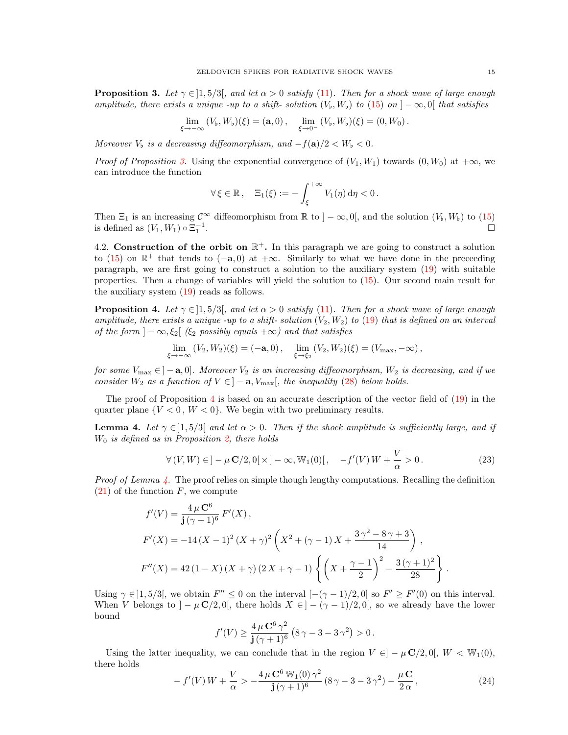**Proposition 3.** Let  $\gamma \in [1, 5/3]$ , and let  $\alpha > 0$  satisfy [\(11\)](#page-6-4). Then for a shock wave of large enough amplitude, there exists a unique -up to a shift- solution  $(V_b, W_b)$  to  $(15)$  on  $]-\infty, 0[$  that satisfies

$$
\lim_{\xi \to -\infty} (V_{\flat}, W_{\flat})(\xi) = (\mathbf{a}, 0), \quad \lim_{\xi \to 0^-} (V_{\flat}, W_{\flat})(\xi) = (0, W_0).
$$

Moreover  $V_b$  is a decreasing diffeomorphism, and  $-f(\mathbf{a})/2 < W_b < 0$ .

*Proof of Proposition [3.](#page-13-1)* Using the exponential convergence of  $(V_1, W_1)$  towards  $(0, W_0)$  at  $+\infty$ , we can introduce the function

$$
\forall \xi \in \mathbb{R}, \quad \Xi_1(\xi) := -\int_{\xi}^{+\infty} V_1(\eta) d\eta < 0.
$$

Then  $\Xi_1$  is an increasing  $\mathcal{C}^{\infty}$  diffeomorphism from  $\mathbb R$  to  $]-\infty,0[$ , and the solution  $(V_b, W_b)$  to  $(15)$ is defined as  $(V_1, W_1) \circ \Xi_1^{-1}$ .

4.2. Construction of the orbit on  $\mathbb{R}^+$ . In this paragraph we are going to construct a solution to [\(15\)](#page-7-2) on  $\mathbb{R}^+$  that tends to (-a, 0) at +∞. Similarly to what we have done in the preceeding paragraph, we are first going to construct a solution to the auxiliary system [\(19\)](#page-10-1) with suitable properties. Then a change of variables will yield the solution to [\(15\)](#page-7-2). Our second main result for the auxiliary system [\(19\)](#page-10-1) reads as follows.

<span id="page-14-0"></span>**Proposition 4.** Let  $\gamma \in [1, 5/3]$ , and let  $\alpha > 0$  satisfy [\(11\)](#page-6-4). Then for a shock wave of large enough amplitude, there exists a unique -up to a shift- solution  $(V_2, W_2)$  to [\(19\)](#page-10-1) that is defined on an interval of the form  $]-\infty, \xi_2[$  ( $\xi_2$  possibly equals  $+\infty$ ) and that satisfies

$$
\lim_{\xi \to -\infty} (V_2, W_2)(\xi) = (-\mathbf{a}, 0), \quad \lim_{\xi \to \xi_2} (V_2, W_2)(\xi) = (V_{\text{max}}, -\infty),
$$

for some  $V_{\text{max}} \in ]-\mathbf{a},0]$ . Moreover  $V_2$  is an increasing diffeomorphism,  $W_2$  is decreasing, and if we consider  $W_2$  as a function of  $V \in ]-\mathbf{a}, V_{\text{max}}[$ , the inequality [\(28\)](#page-17-0) below holds.

The proof of Proposition [4](#page-14-0) is based on an accurate description of the vector field of [\(19\)](#page-10-1) in the quarter plane  ${V < 0, W < 0}$ . We begin with two preliminary results.

<span id="page-14-1"></span>**Lemma 4.** Let  $\gamma \in [1, 5/3]$  and let  $\alpha > 0$ . Then if the shock amplitude is sufficiently large, and if  $W_0$  is defined as in Proposition [2,](#page-10-2) there holds

<span id="page-14-3"></span>
$$
\forall (V, W) \in ]-\mu \mathbf{C}/2, 0[\times] - \infty, \mathbb{W}_1(0)[\,, \quad -f'(V)W + \frac{V}{\alpha} > 0. \tag{23}
$$

*Proof of Lemma [4.](#page-14-1)* The proof relies on simple though lengthy computations. Recalling the definition  $(21)$  of the function F, we compute

$$
f'(V) = \frac{4 \,\mu \, \mathbf{C}^6}{\mathbf{j} \, (\gamma + 1)^6} \, F'(X) \,,
$$
  
\n
$$
F'(X) = -14 \,(X - 1)^2 \,(X + \gamma)^2 \left(X^2 + (\gamma - 1) \, X + \frac{3 \,\gamma^2 - 8 \,\gamma + 3}{14}\right) \,,
$$
  
\n
$$
F''(X) = 42 \,(1 - X) \,(X + \gamma) \,(2 \, X + \gamma - 1) \left\{ \left(X + \frac{\gamma - 1}{2}\right)^2 - \frac{3 \, (\gamma + 1)^2}{28}\right\} \,.
$$

Using  $\gamma \in ]1, 5/3[$ , we obtain  $F'' \le 0$  on the interval  $[-(\gamma - 1)/2, 0]$  so  $F' \ge F'(0)$  on this interval. When V belongs to  $]-\mu \mathbf{C}/2, 0[$ , there holds  $X \in ]-(\gamma-1)/2, 0[$ , so we already have the lower bound

$$
f'(V) \ge \frac{4 \,\mu \, \mathbf{C}^6 \,\gamma^2}{\mathbf{j} \, (\gamma + 1)^6} \left( 8 \,\gamma - 3 - 3 \,\gamma^2 \right) > 0 \,.
$$

Using the latter inequality, we can conclude that in the region  $V \in ]-\mu \mathbb{C}/2,0[$ ,  $W < \mathbb{W}_1(0)$ , there holds

<span id="page-14-2"></span>
$$
- f'(V) W + \frac{V}{\alpha} > -\frac{4 \mu \mathbf{C}^6 W_1(0) \gamma^2}{\mathbf{j} (\gamma + 1)^6} (8 \gamma - 3 - 3 \gamma^2) - \frac{\mu \mathbf{C}}{2 \alpha}, \qquad (24)
$$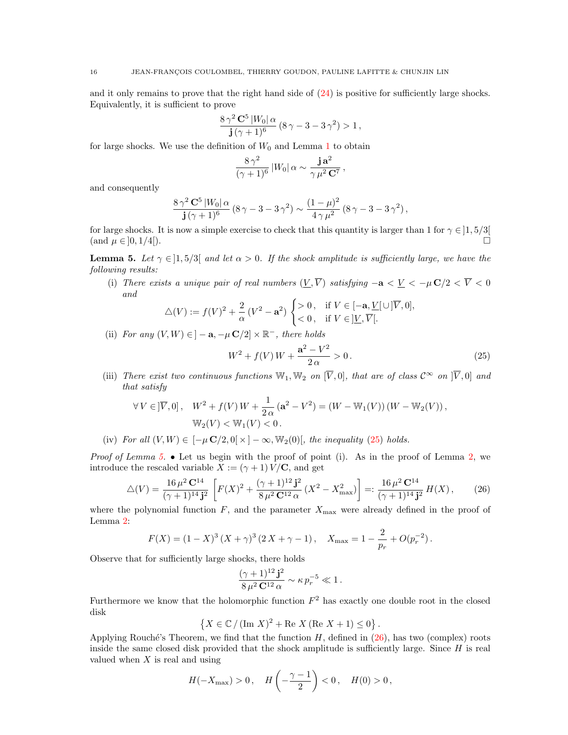and it only remains to prove that the right hand side of [\(24\)](#page-14-2) is positive for sufficiently large shocks. Equivalently, it is sufficient to prove

$$
\frac{8\,\gamma^2\,\mathbf{C}^5\,|W_0|\,\alpha}{\mathbf{j}\,(\gamma+1)^6}\,(8\,\gamma-3-3\,\gamma^2) > 1\,,
$$

for large shocks. We use the definition of  $W_0$  and Lemma [1](#page-7-0) to obtain

$$
\frac{8\,\gamma^2}{(\gamma+1)^6}\,|W_0|\,\alpha\sim\frac{\mathbf{j}\,\mathbf{a}^2}{\gamma\,\mu^2\,\mathbf{C}^7}\,,
$$

and consequently

$$
\frac{8\,\gamma^2\,\mathbf{C}^5\,|W_0|\,\alpha}{\mathbf{j}\,(\gamma+1)^6}\,(8\,\gamma-3-3\,\gamma^2)\sim\frac{(1-\mu)^2}{4\,\gamma\,\mu^2}\,(8\,\gamma-3-3\,\gamma^2)\,,
$$

for large shocks. It is now a simple exercise to check that this quantity is larger than 1 for  $\gamma \in ]1, 5/3[$ (and  $\mu \in ]0, 1/4[$ ).

<span id="page-15-1"></span>**Lemma 5.** Let  $\gamma \in [1, 5/3]$  and let  $\alpha > 0$ . If the shock amplitude is sufficiently large, we have the following results:

(i) There exists a unique pair of real numbers  $(V, \overline{V})$  satisfying  $-\mathbf{a} < V < -\mu \mathbf{C}/2 < \overline{V} < 0$ and

$$
\triangle(V) := f(V)^2 + \frac{2}{\alpha} (V^2 - \mathbf{a}^2) \begin{cases} > 0, \text{ if } V \in [-\mathbf{a}, \underline{V}[\cup] \overline{V}, 0], \\ < 0, \text{ if } V \in ]\underline{V}, \overline{V}[. \end{cases}
$$

(ii) For any  $(V, W) \in ] -\mathbf{a}, -\mu \mathbf{C}/2] \times \mathbb{R}^-$ , there holds

<span id="page-15-0"></span>
$$
W^{2} + f(V)W + \frac{\mathbf{a}^{2} - V^{2}}{2\alpha} > 0.
$$
 (25)

(iii) There exist two continuous functions  $\mathbb{W}_1, \mathbb{W}_2$  on  $[\overline{V}, 0]$ , that are of class  $\mathcal{C}^{\infty}$  on  $[\overline{V}, 0]$  and that satisfy

$$
\forall V \in ]\overline{V}, 0], \quad W^2 + f(V)W + \frac{1}{2\alpha} (\mathbf{a}^2 - V^2) = (W - W_1(V))(W - W_2(V)),
$$
  

$$
W_2(V) < W_1(V) < 0.
$$

(iv) For all  $(V, W) \in [-\mu \mathbf{C}/2, 0] \times ]-\infty$ ,  $\mathbb{W}_2(0)$ , the inequality [\(25\)](#page-15-0) holds.

*Proof of Lemma [5.](#page-15-1)* • Let us begin with the proof of point (i). As in the proof of Lemma [2,](#page-10-3) we introduce the rescaled variable  $X := (\gamma + 1) V/C$ , and get

<span id="page-15-2"></span>
$$
\triangle(V) = \frac{16\,\mu^2\,\mathbf{C}^{14}}{(\gamma+1)^{14}\,\mathbf{j}^2} \left[ F(X)^2 + \frac{(\gamma+1)^{12}\,\mathbf{j}^2}{8\,\mu^2\,\mathbf{C}^{12}\,\alpha} \left( X^2 - X_{\text{max}}^2 \right) \right] =: \frac{16\,\mu^2\,\mathbf{C}^{14}}{(\gamma+1)^{14}\,\mathbf{j}^2} \,H(X) \,, \tag{26}
$$

where the polynomial function  $F$ , and the parameter  $X_{\text{max}}$  were already defined in the proof of Lemma [2:](#page-10-3)

$$
F(X) = (1 - X)^3 (X + \gamma)^3 (2X + \gamma - 1), \quad X_{\text{max}} = 1 - \frac{2}{p_r} + O(p_r^{-2}).
$$

Observe that for sufficiently large shocks, there holds

$$
\frac{(\gamma+1)^{12} \mathbf{j}^2}{8 \,\mu^2 \, \mathbf{C}^{12} \,\alpha} \sim \kappa \, p_r^{-5} \ll 1 \, .
$$

Furthermore we know that the holomorphic function  $F^2$  has exactly one double root in the closed disk

$$
\left\{X\in\mathbb{C}\,/\,(\text{Im }X)^2+\text{Re }X\,(\text{Re }X+1)\leq 0\right\}.
$$

Applying Rouché's Theorem, we find that the function  $H$ , defined in [\(26\)](#page-15-2), has two (complex) roots inside the same closed disk provided that the shock amplitude is sufficiently large. Since  $H$  is real valued when  $X$  is real and using

$$
H(-X_{\text{max}}) > 0
$$
,  $H\left(-\frac{\gamma - 1}{2}\right) < 0$ ,  $H(0) > 0$ ,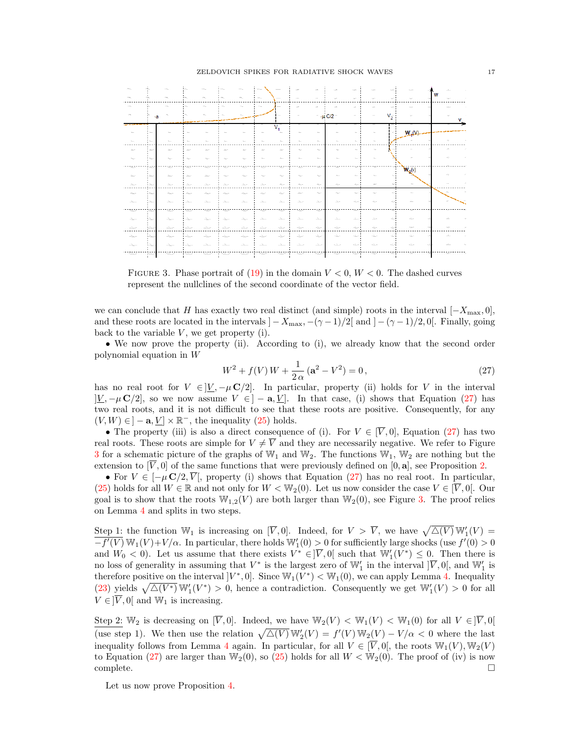

<span id="page-16-1"></span>FIGURE 3. Phase portrait of [\(19\)](#page-10-1) in the domain  $V < 0$ ,  $W < 0$ . The dashed curves represent the nullclines of the second coordinate of the vector field.

we can conclude that H has exactly two real distinct (and simple) roots in the interval  $[-X_{\text{max}}, 0]$ , and these roots are located in the intervals  $]-X_{\text{max}},-(\gamma-1)/2[$  and  $]-(\gamma-1)/2,0[$ . Finally, going back to the variable  $V$ , we get property (i).

• We now prove the property (ii). According to (i), we already know that the second order polynomial equation in W

<span id="page-16-0"></span>
$$
W^{2} + f(V)W + \frac{1}{2\alpha} (a^{2} - V^{2}) = 0,
$$
\n(27)

has no real root for  $V \in ]V, -\mu \mathbb{C}/2]$ . In particular, property (ii) holds for V in the interval  $|\underline{V}, -\mu \mathbf{C}/2|$ , so we now assume  $V \in ]-\mathbf{a}, \underline{V}]$ . In that case, (i) shows that Equation [\(27\)](#page-16-0) has two real roots, and it is not difficult to see that these roots are positive. Consequently, for any  $(V, W) \in ]-\mathbf{a}, \underline{V}] \times \mathbb{R}^-$ , the inequality  $(25)$  holds.

• The property (iii) is also a direct consequence of (i). For  $V \in [\overline{V}, 0]$ , Equation [\(27\)](#page-16-0) has two real roots. These roots are simple for  $V \neq \overline{V}$  and they are necessarily negative. We refer to Figure [3](#page-16-1) for a schematic picture of the graphs of  $\mathbb{W}_1$  and  $\mathbb{W}_2$ . The functions  $\mathbb{W}_1$ ,  $\mathbb{W}_2$  are nothing but the extension to  $[\overline{V}, 0]$  of the same functions that were previously defined on  $[0, a]$ , see Proposition [2.](#page-10-2)

• For  $V \in [-\mu \mathbf{C}/2, \overline{V}]$ , property (i) shows that Equation [\(27\)](#page-16-0) has no real root. In particular, [\(25\)](#page-15-0) holds for all  $W \in \mathbb{R}$  and not only for  $W < \mathbb{W}_2(0)$ . Let us now consider the case  $V \in [\overline{V}, 0]$ . Our goal is to show that the roots  $\mathbb{W}_{1,2}(V)$  are both larger than  $\mathbb{W}_2(0)$ , see Figure [3.](#page-16-1) The proof relies on Lemma [4](#page-14-1) and splits in two steps.

Step 1: the function  $\mathbb{W}_1$  is increasing on  $[\overline{V}, 0]$ . Indeed, for  $V > \overline{V}$ , we have  $\sqrt{\Delta(V)} \mathbb{W}'_1(V) =$  $-f'(V) \mathbb{W}_1(V) + V/\alpha$ . In particular, there holds  $\mathbb{W}'_1(0) > 0$  for sufficiently large shocks (use  $f'(0) > 0$ and  $W_0 < 0$ ). Let us assume that there exists  $V^* \in ]\overline{V}, 0[$  such that  $\mathbb{W}'_1(V^*) \leq 0$ . Then there is no loss of generality in assuming that  $V^*$  is the largest zero of  $\mathbb{W}'_1$  in the interval  $]\overline{V}$ , 0, and  $\mathbb{W}'_1$  is therefore positive on the interval  $V^*$ , 0. Since  $\mathbb{W}_1(V^*) < \mathbb{W}_1(0)$ , we can apply Lemma [4.](#page-14-1) Inequality [\(23\)](#page-14-3) yields  $\sqrt{\Delta(V^*)} \mathbb{W}'_1(V^*) > 0$ , hence a contradiction. Consequently we get  $\mathbb{W}'_1(V) > 0$  for all  $V \in ]\overline{V}, 0[$  and  $\mathbb{W}_1$  is increasing.

Step 2:  $\mathbb{W}_2$  is decreasing on  $[\overline{V}, 0]$ . Indeed, we have  $\mathbb{W}_2(V) < \mathbb{W}_1(V) < \mathbb{W}_1(0)$  for all  $V \in ]\overline{V}, 0[$ (use step 1). We then use the relation  $\sqrt{\Delta(V)} \mathbb{W}'_2(V) = f'(V) \mathbb{W}_2(V) - V/\alpha < 0$  where the last inequality follows from Lemma [4](#page-14-1) again. In particular, for all  $V \in [\overline{V}, 0]$ , the roots  $\mathbb{W}_1(V), \mathbb{W}_2(V)$ to Equation [\(27\)](#page-16-0) are larger than  $\mathbb{W}_2(0)$ , so [\(25\)](#page-15-0) holds for all  $W < \mathbb{W}_2(0)$ . The proof of (iv) is now  $\Box$ complete.  $\Box$ 

Let us now prove Proposition [4.](#page-14-0)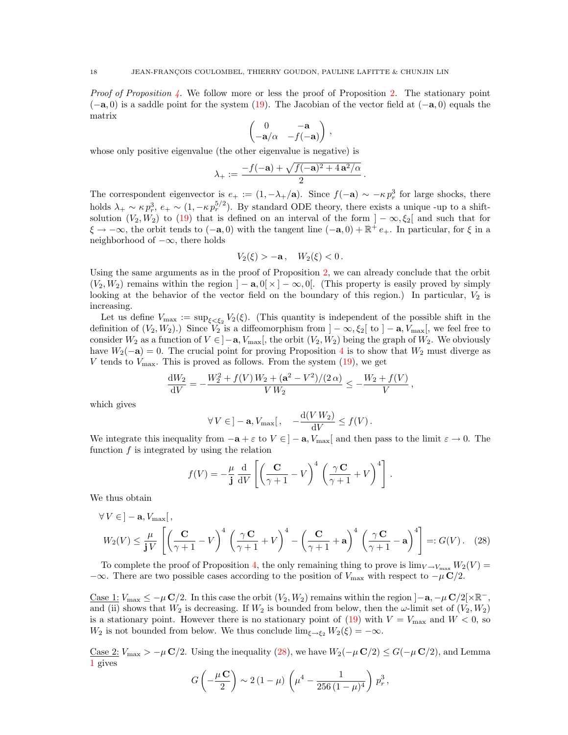*Proof of Proposition [4.](#page-14-0)* We follow more or less the proof of Proposition [2.](#page-10-2) The stationary point  $(-a, 0)$  is a saddle point for the system [\(19\)](#page-10-1). The Jacobian of the vector field at  $(-a, 0)$  equals the matrix

$$
\begin{pmatrix} 0 & -\mathbf{a} \\ -\mathbf{a}/\alpha & -f(-\mathbf{a}) \end{pmatrix}
$$

,

whose only positive eigenvalue (the other eigenvalue is negative) is

$$
\lambda_+ := \frac{-f(-\mathbf{a}) + \sqrt{f(-\mathbf{a})^2 + 4\mathbf{a}^2/\alpha}}{2}.
$$

The correspondent eigenvector is  $e_+ := (1, -\lambda_+/\mathbf{a})$ . Since  $f(-\mathbf{a}) \sim -\kappa p_r^3$  for large shocks, there holds  $\lambda_+ \sim \kappa p_r^3$ ,  $e_+ \sim (1, -\kappa p_r^{5/2})$ . By standard ODE theory, there exists a unique -up to a shiftsolution  $(V_2, W_2)$  to [\(19\)](#page-10-1) that is defined on an interval of the form  $]-\infty, \xi_2[$  and such that for  $\xi \to -\infty$ , the orbit tends to  $(-a, 0)$  with the tangent line  $(-a, 0) + \mathbb{R}^+ e_+$ . In particular, for  $\xi$  in a neighborhood of  $-\infty$ , there holds

$$
V_2(\xi) > -\mathbf{a}, \quad W_2(\xi) < 0.
$$

Using the same arguments as in the proof of Proposition [2,](#page-10-2) we can already conclude that the orbit  $(V_2, W_2)$  remains within the region  $]-\mathbf{a}, 0[\times] -\infty, 0[$ . (This property is easily proved by simply looking at the behavior of the vector field on the boundary of this region.) In particular,  $V_2$  is increasing.

Let us define  $V_{\text{max}} := \sup_{\xi \leq \xi_2} V_2(\xi)$ . (This quantity is independent of the possible shift in the definition of  $(V_2, W_2)$ .) Since  $V_2$  is a diffeomorphism from  $]-\infty, \xi_2[$  to  $]-\mathbf{a}, V_{\text{max}}[$ , we feel free to consider  $W_2$  as a function of  $V \in ]-\mathbf{a}, V_{\text{max}}[$ , the orbit  $(V_2, W_2)$  being the graph of  $W_2$ . We obviously have  $W_2(-a) = 0$ . The crucial point for proving Proposition [4](#page-14-0) is to show that  $W_2$  must diverge as V tends to  $V_{\text{max}}$ . This is proved as follows. From the system  $(19)$ , we get

$$
\frac{dW_2}{dV} = -\frac{W_2^2 + f(V)W_2 + (\mathbf{a}^2 - V^2)/(2\alpha)}{V W_2} \le -\frac{W_2 + f(V)}{V},
$$

which gives

$$
\forall V \in ]-\mathbf{a}, V_{\text{max}}[, \quad -\frac{\mathrm{d}(V W_2)}{\mathrm{d}V} \le f(V).
$$

We integrate this inequality from  $-\mathbf{a} + \varepsilon$  to  $V \in ]-\mathbf{a}, V_{\text{max}}[$  and then pass to the limit  $\varepsilon \to 0$ . The function  $f$  is integrated by using the relation

$$
f(V) = -\frac{\mu}{\mathbf{j}} \frac{\mathrm{d}}{\mathrm{d}V} \left[ \left( \frac{\mathbf{C}}{\gamma + 1} - V \right)^4 \left( \frac{\gamma \mathbf{C}}{\gamma + 1} + V \right)^4 \right]
$$

<span id="page-17-0"></span>.

We thus obtain

$$
\forall V \in ]-\mathbf{a}, V_{\text{max}}[,
$$
  

$$
W_2(V) \le \frac{\mu}{\mathbf{j}V} \left[ \left( \frac{\mathbf{C}}{\gamma+1} - V \right)^4 \left( \frac{\gamma \mathbf{C}}{\gamma+1} + V \right)^4 - \left( \frac{\mathbf{C}}{\gamma+1} + \mathbf{a} \right)^4 \left( \frac{\gamma \mathbf{C}}{\gamma+1} - \mathbf{a} \right)^4 \right] =: G(V). \quad (28)
$$

To complete the proof of Proposition [4,](#page-14-0) the only remaining thing to prove is  $\lim_{V \to V_{\text{max}}} W_2(V)$  $-\infty$ . There are two possible cases according to the position of  $V_{\text{max}}$  with respect to  $-\mu \mathbf{C}/2$ .

Case 1:  $V_{\text{max}} \le -\mu \mathbf{C}/2$ . In this case the orbit  $(V_2, W_2)$  remains within the region  $]-a, -\mu \mathbf{C}/2[\times \mathbb{R}^-]$ , and (ii) shows that  $W_2$  is decreasing. If  $W_2$  is bounded from below, then the  $\omega$ -limit set of  $(V_2, W_2)$ is a stationary point. However there is no stationary point of  $(19)$  with  $V = V_{\text{max}}$  and  $W < 0$ , so  $W_2$  is not bounded from below. We thus conclude  $\lim_{\xi \to \xi_2} W_2(\xi) = -\infty$ .

<u>Case 2:</u>  $V_{\text{max}} > -\mu \mathbf{C}/2$ . Using the inequality [\(28\)](#page-17-0), we have  $W_2(-\mu \mathbf{C}/2) \leq G(-\mu \mathbf{C}/2)$ , and Lemma [1](#page-7-0) gives

$$
G\left(-\frac{\mu\mathbf{C}}{2}\right) \sim 2(1-\mu)\left(\mu^4 - \frac{1}{256(1-\mu)^4}\right)p_r^3,
$$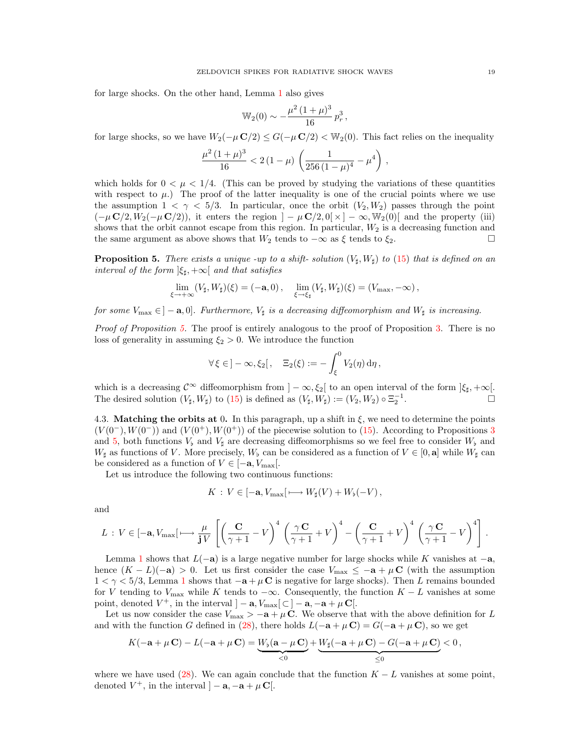for large shocks. On the other hand, Lemma [1](#page-7-0) also gives

$$
\mathbb{W}_2(0) \sim -\frac{\mu^2 (1+\mu)^3}{16} p_r^3,
$$

for large shocks, so we have  $W_2(-\mu \mathbf{C}/2) \leq G(-\mu \mathbf{C}/2) < W_2(0)$ . This fact relies on the inequality

$$
\frac{\mu^2 (1 + \mu)^3}{16} < 2 \left( 1 - \mu \right) \left( \frac{1}{256 \left( 1 - \mu \right)^4} - \mu^4 \right),
$$

which holds for  $0 < \mu < 1/4$ . (This can be proved by studying the variations of these quantities with respect to  $\mu$ .) The proof of the latter inequality is one of the crucial points where we use the assumption  $1 < \gamma < 5/3$ . In particular, once the orbit  $(V_2, W_2)$  passes through the point  $(-\mu \mathbf{C}/2, W_2(-\mu \mathbf{C}/2))$ , it enters the region  $]-\mu \mathbf{C}/2, 0[ \times ]-\infty, \mathbb{W}_2(0)[$  and the property (iii) shows that the orbit cannot escape from this region. In particular,  $W_2$  is a decreasing function and the same argument as above shows that  $W_2$  tends to  $-\infty$  as  $\xi$  tends to  $\xi_2$ .

<span id="page-18-0"></span>**Proposition 5.** There exists a unique -up to a shift- solution  $(V_{\sharp}, W_{\sharp})$  to [\(15\)](#page-7-2) that is defined on an interval of the form  $|\xi_{\sharp}, +\infty|$  and that satisfies

$$
\lim_{\xi \to +\infty} (V_{\sharp}, W_{\sharp})(\xi) = (-\mathbf{a}, 0), \quad \lim_{\xi \to \xi_{\sharp}} (V_{\sharp}, W_{\sharp})(\xi) = (V_{\max}, -\infty),
$$

for some  $V_{\text{max}} \in ]-a,0]$ . Furthermore,  $V_{\sharp}$  is a decreasing diffeomorphism and  $W_{\sharp}$  is increasing.

Proof of Proposition [5.](#page-18-0) The proof is entirely analogous to the proof of Proposition [3.](#page-13-1) There is no loss of generality in assuming  $\xi_2 > 0$ . We introduce the function

$$
\forall \xi \in ]-\infty, \xi_2[, \quad \Xi_2(\xi) := -\int_{\xi}^0 V_2(\eta) d\eta,
$$

which is a decreasing  $\mathcal{C}^{\infty}$  diffeomorphism from  $]-\infty, \xi_2[$  to an open interval of the form  $]\xi_{\sharp}, +\infty[$ . The desired solution  $(V_{\sharp}, W_{\sharp})$  to  $(15)$  is defined as  $(V_{\sharp}, W_{\sharp}) := (V_2, W_2) \circ \Xi_2^{-1}$ .

4.3. Matching the orbits at 0. In this paragraph, up a shift in  $\xi$ , we need to determine the points  $(V(0^-), W(0^-))$  and  $(V(0^+), W(0^+))$  of the piecewise solution to [\(15\)](#page-7-2). According to Propositions [3](#page-13-1) and [5,](#page-18-0) both functions  $V_{\flat}$  and  $V_{\sharp}$  are decreasing diffeomorphisms so we feel free to consider  $W_{\flat}$  and  $W_{\sharp}$  as functions of V. More precisely,  $W_{\flat}$  can be considered as a function of  $V \in [0, \mathbf{a}]$  while  $W_{\sharp}$  can be considered as a function of  $V \in [-a, V_{\text{max}}]$ .

Let us introduce the following two continuous functions:

$$
K: V \in [-\mathbf{a}, V_{\max}[\longmapsto W_{\sharp}(V) + W_{\flat}(-V),
$$

and

$$
L: V \in [-\mathbf{a}, V_{\max}] \longmapsto \frac{\mu}{\mathbf{j}V} \left[ \left( \frac{\mathbf{C}}{\gamma + 1} - V \right)^4 \left( \frac{\gamma \mathbf{C}}{\gamma + 1} + V \right)^4 - \left( \frac{\mathbf{C}}{\gamma + 1} + V \right)^4 \left( \frac{\gamma \mathbf{C}}{\gamma + 1} - V \right)^4 \right].
$$

Lemma [1](#page-7-0) shows that  $L(-a)$  is a large negative number for large shocks while K vanishes at  $-a$ , hence  $(K - L)(-a) > 0$ . Let us first consider the case  $V_{\text{max}} \leq -a + \mu C$  (with the assumption  $1 < \gamma < 5/3$  $1 < \gamma < 5/3$ , Lemma 1 shows that  $-a + \mu \mathbf{C}$  is negative for large shocks). Then L remains bounded for V tending to  $V_{\text{max}}$  while K tends to  $-\infty$ . Consequently, the function  $K - L$  vanishes at some point, denoted  $V^+$ , in the interval  $]-\mathbf{a}, V_{\text{max}}[\subset ]-\mathbf{a}, -\mathbf{a} + \mu \mathbf{C}[\cdot]$ .

Let us now consider the case  $V_{\text{max}} > -a + \mu C$ . We observe that with the above definition for L and with the function G defined in [\(28\)](#page-17-0), there holds  $L(-\mathbf{a} + \mu \mathbf{C}) = G(-\mathbf{a} + \mu \mathbf{C})$ , so we get

$$
K(-\mathbf{a}+\mu\,\mathbf{C})-L(-\mathbf{a}+\mu\,\mathbf{C})=\underbrace{W_{\flat}(\mathbf{a}-\mu\,\mathbf{C})}_{<0}+\underbrace{W_{\sharp}(-\mathbf{a}+\mu\,\mathbf{C})-G(-\mathbf{a}+\mu\,\mathbf{C})}_{\leq 0}<0\,,
$$

where we have used [\(28\)](#page-17-0). We can again conclude that the function  $K - L$  vanishes at some point, denoted  $V^+$ , in the interval  $]-\mathbf{a}, -\mathbf{a} + \mu \mathbf{C}$ .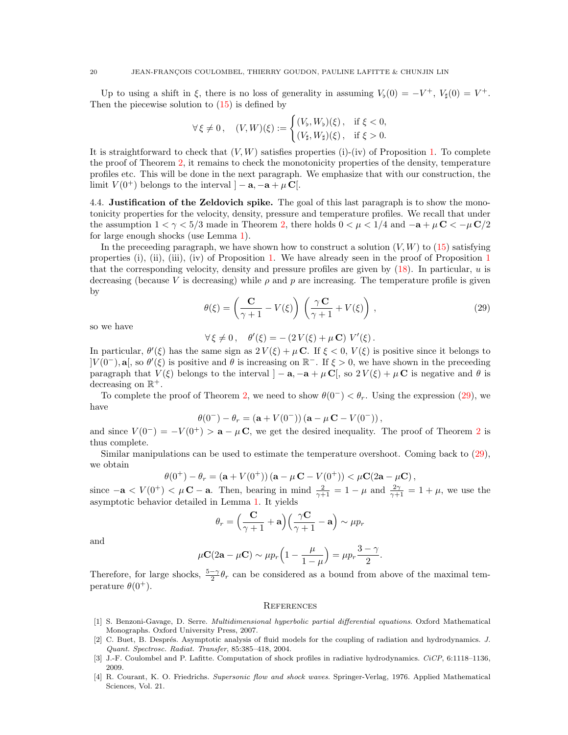Up to using a shift in  $\xi$ , there is no loss of generality in assuming  $V_b(0) = -V^+$ ,  $V_{\sharp}(0) = V^+$ . Then the piecewise solution to  $(15)$  is defined by

$$
\forall \xi \neq 0, \quad (V, W)(\xi) := \begin{cases} (V_{\sharp}, W_{\flat})(\xi), & \text{if } \xi < 0, \\ (V_{\sharp}, W_{\sharp})(\xi), & \text{if } \xi > 0. \end{cases}
$$

It is straightforward to check that  $(V, W)$  satisfies properties (i)-(iv) of Proposition [1.](#page-8-0) To complete the proof of Theorem [2,](#page-5-2) it remains to check the monotonicity properties of the density, temperature profiles etc. This will be done in the next paragraph. We emphasize that with our construction, the limit  $V(0^+)$  belongs to the interval  $]-a, -a+\mu C$ .

4.4. Justification of the Zeldovich spike. The goal of this last paragraph is to show the monotonicity properties for the velocity, density, pressure and temperature profiles. We recall that under the assumption  $1 < \gamma < 5/3$  made in Theorem [2,](#page-5-2) there holds  $0 < \mu < 1/4$  and  $-\mathbf{a} + \mu \mathbf{C} < -\mu \mathbf{C}/2$ for large enough shocks (use Lemma [1\)](#page-7-0).

In the preceeding paragraph, we have shown how to construct a solution  $(V, W)$  to [\(15\)](#page-7-2) satisfying properties (i), (ii), (iii), (iv) of Proposition [1.](#page-8-0) We have already seen in the proof of Proposition [1](#page-8-0) that the corresponding velocity, density and pressure profiles are given by  $(18)$ . In particular, u is decreasing (because V is decreasing) while  $\rho$  and p are increasing. The temperature profile is given by

<span id="page-19-4"></span>
$$
\theta(\xi) = \left(\frac{\mathbf{C}}{\gamma + 1} - V(\xi)\right) \left(\frac{\gamma \mathbf{C}}{\gamma + 1} + V(\xi)\right),\tag{29}
$$

so we have

$$
\forall \xi \neq 0 \,, \quad \theta'(\xi) = -\left(2\,V(\xi) + \mu\,\mathbf{C}\right)\,V'(\xi)\,.
$$

In particular,  $\theta'(\xi)$  has the same sign as  $2V(\xi) + \mu \mathbf{C}$ . If  $\xi < 0$ ,  $V(\xi)$  is positive since it belongs to  $|V(0^-), \mathbf{a}|$ , so  $\theta'(\xi)$  is positive and  $\theta$  is increasing on  $\mathbb{R}^-$ . If  $\xi > 0$ , we have shown in the preceeding paragraph that  $V(\xi)$  belongs to the interval  $]-a, -a + \mu C$ , so  $2V(\xi) + \mu C$  is negative and  $\theta$  is decreasing on  $\mathbb{R}^+$ .

To complete the proof of Theorem [2,](#page-5-2) we need to show  $\theta(0^-) < \theta_r$ . Using the expression [\(29\)](#page-19-4), we have

$$
\theta(0^-) - \theta_r = (a + V(0^-))(a - \mu C - V(0^-)),
$$

and since  $V(0^-) = -V(0^+) > a - \mu C$ , we get the desired inequality. The proof of Theorem [2](#page-5-2) is thus complete.

Similar manipulations can be used to estimate the temperature overshoot. Coming back to [\(29\)](#page-19-4), we obtain

$$
\theta(0^+) - \theta_r = (a + V(0^+)) (a - \mu \mathbf{C} - V(0^+)) < \mu \mathbf{C} (2a - \mu \mathbf{C}),
$$

since  $-\mathbf{a} < V(0^+) < \mu \mathbf{C} - \mathbf{a}$ . Then, bearing in mind  $\frac{2}{\gamma+1} = 1 - \mu$  and  $\frac{2\gamma}{\gamma+1} = 1 + \mu$ , we use the asymptotic behavior detailed in Lemma [1.](#page-7-0) It yields

$$
\theta_r = \left(\frac{\mathbf{C}}{\gamma + 1} + \mathbf{a}\right) \left(\frac{\gamma \mathbf{C}}{\gamma + 1} - \mathbf{a}\right) \sim \mu p_r
$$

and

$$
\mu \mathbf{C} (2\mathbf{a} - \mu \mathbf{C}) \sim \mu p_r \left( 1 - \frac{\mu}{1 - \mu} \right) = \mu p_r \frac{3 - \gamma}{2}.
$$

Therefore, for large shocks,  $\frac{5-\gamma}{2}\theta_r$  can be considered as a bound from above of the maximal temperature  $\theta(0^+)$ .

## **REFERENCES**

- <span id="page-19-3"></span>[1] S. Benzoni-Gavage, D. Serre. Multidimensional hyperbolic partial differential equations. Oxford Mathematical Monographs. Oxford University Press, 2007.
- <span id="page-19-1"></span>[2] C. Buet, B. Després. Asymptotic analysis of fluid models for the coupling of radiation and hydrodynamics. J. Quant. Spectrosc. Radiat. Transfer, 85:385–418, 2004.
- <span id="page-19-0"></span>[3] J.-F. Coulombel and P. Lafitte. Computation of shock profiles in radiative hydrodynamics. CiCP, 6:1118–1136, 2009.
- <span id="page-19-2"></span>[4] R. Courant, K. O. Friedrichs. Supersonic flow and shock waves. Springer-Verlag, 1976. Applied Mathematical Sciences, Vol. 21.